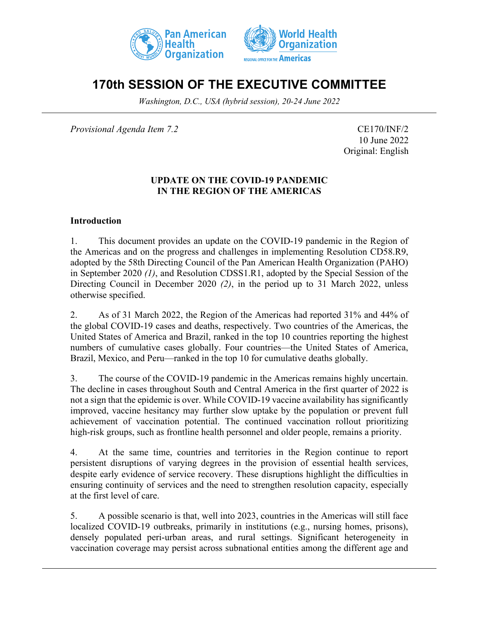



# **170th SESSION OF THE EXECUTIVE COMMITTEE**

*Washington, D.C., USA (hybrid session), 20-24 June 2022*

*Provisional Agenda Item 7.2* CE170/INF/2

10 June 2022 Original: English

#### **UPDATE ON THE COVID-19 PANDEMIC IN THE REGION OF THE AMERICAS**

#### **Introduction**

1. This document provides an update on the COVID-19 pandemic in the Region of the Americas and on the progress and challenges in implementing Resolution CD58.R9, adopted by the 58th Directing Council of the Pan American Health Organization (PAHO) in September 2020 *(1)*, and Resolution CDSS1.R1, adopted by the Special Session of the Directing Council in December 2020 *(2)*, in the period up to 31 March 2022, unless otherwise specified.

2. As of 31 March 2022, the Region of the Americas had reported 31% and 44% of the global COVID-19 cases and deaths, respectively. Two countries of the Americas, the United States of America and Brazil, ranked in the top 10 countries reporting the highest numbers of cumulative cases globally. Four countries—the United States of America, Brazil, Mexico, and Peru—ranked in the top 10 for cumulative deaths globally.

3. The course of the COVID-19 pandemic in the Americas remains highly uncertain. The decline in cases throughout South and Central America in the first quarter of 2022 is not a sign that the epidemic is over. While COVID-19 vaccine availability has significantly improved, vaccine hesitancy may further slow uptake by the population or prevent full achievement of vaccination potential. The continued vaccination rollout prioritizing high-risk groups, such as frontline health personnel and older people, remains a priority.

4. At the same time, countries and territories in the Region continue to report persistent disruptions of varying degrees in the provision of essential health services, despite early evidence of service recovery. These disruptions highlight the difficulties in ensuring continuity of services and the need to strengthen resolution capacity, especially at the first level of care.

5. A possible scenario is that, well into 2023, countries in the Americas will still face localized COVID-19 outbreaks, primarily in institutions (e.g., nursing homes, prisons), densely populated peri-urban areas, and rural settings. Significant heterogeneity in vaccination coverage may persist across subnational entities among the different age and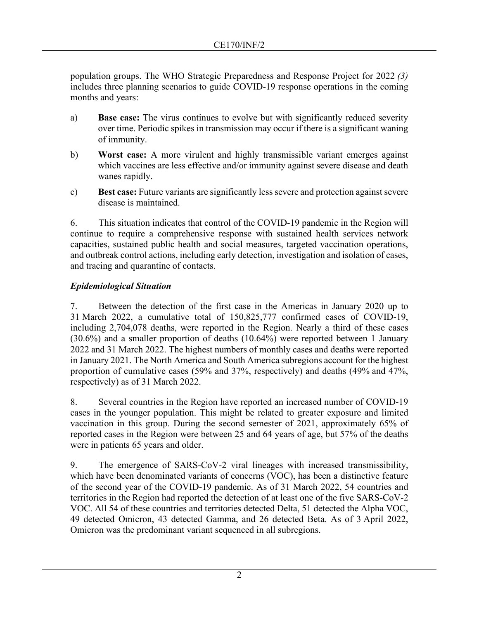population groups. The WHO Strategic Preparedness and Response Project for 2022 *(3)* includes three planning scenarios to guide COVID-19 response operations in the coming months and years:

- a) **Base case:** The virus continues to evolve but with significantly reduced severity over time. Periodic spikes in transmission may occur if there is a significant waning of immunity.
- b) **Worst case:** A more virulent and highly transmissible variant emerges against which vaccines are less effective and/or immunity against severe disease and death wanes rapidly.
- c) **Best case:** Future variants are significantly less severe and protection against severe disease is maintained.

6. This situation indicates that control of the COVID-19 pandemic in the Region will continue to require a comprehensive response with sustained health services network capacities, sustained public health and social measures, targeted vaccination operations, and outbreak control actions, including early detection, investigation and isolation of cases, and tracing and quarantine of contacts.

# *Epidemiological Situation*

7. Between the detection of the first case in the Americas in January 2020 up to 31 March 2022, a cumulative total of 150,825,777 confirmed cases of COVID-19, including 2,704,078 deaths, were reported in the Region. Nearly a third of these cases (30.6%) and a smaller proportion of deaths (10.64%) were reported between 1 January 2022 and 31 March 2022. The highest numbers of monthly cases and deaths were reported in January 2021. The North America and South America subregions account for the highest proportion of cumulative cases (59% and 37%, respectively) and deaths (49% and 47%, respectively) as of 31 March 2022.

8. Several countries in the Region have reported an increased number of COVID-19 cases in the younger population. This might be related to greater exposure and limited vaccination in this group. During the second semester of 2021, approximately 65% of reported cases in the Region were between 25 and 64 years of age, but 57% of the deaths were in patients 65 years and older.

9. The emergence of SARS-CoV-2 viral lineages with increased transmissibility, which have been denominated variants of concerns (VOC), has been a distinctive feature of the second year of the COVID-19 pandemic. As of 31 March 2022, 54 countries and territories in the Region had reported the detection of at least one of the five SARS-CoV-2 VOC. All 54 of these countries and territories detected Delta, 51 detected the Alpha VOC, 49 detected Omicron, 43 detected Gamma, and 26 detected Beta. As of 3 April 2022, Omicron was the predominant variant sequenced in all subregions.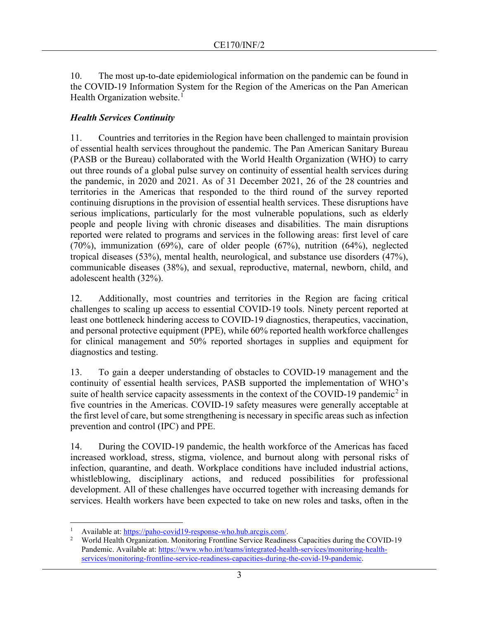10. The most up-to-date epidemiological information on the pandemic can be found in the COVID-19 Information System for the Region of the Americas on the Pan American Health Organization website.<sup>[1](#page-2-0)</sup>

#### *Health Services Continuity*

11. Countries and territories in the Region have been challenged to maintain provision of essential health services throughout the pandemic. The Pan American Sanitary Bureau (PASB or the Bureau) collaborated with the World Health Organization (WHO) to carry out three rounds of a global pulse survey on continuity of essential health services during the pandemic, in 2020 and 2021. As of 31 December 2021, 26 of the 28 countries and territories in the Americas that responded to the third round of the survey reported continuing disruptions in the provision of essential health services. These disruptions have serious implications, particularly for the most vulnerable populations, such as elderly people and people living with chronic diseases and disabilities. The main disruptions reported were related to programs and services in the following areas: first level of care (70%), immunization (69%), care of older people (67%), nutrition (64%), neglected tropical diseases (53%), mental health, neurological, and substance use disorders (47%), communicable diseases (38%), and sexual, reproductive, maternal, newborn, child, and adolescent health (32%).

12. Additionally, most countries and territories in the Region are facing critical challenges to scaling up access to essential COVID-19 tools. Ninety percent reported at least one bottleneck hindering access to COVID-19 diagnostics, therapeutics, vaccination, and personal protective equipment (PPE), while 60% reported health workforce challenges for clinical management and 50% reported shortages in supplies and equipment for diagnostics and testing.

13. To gain a deeper understanding of obstacles to COVID-19 management and the continuity of essential health services, PASB supported the implementation of WHO's suite of health service capacity assessments in the context of the COVID-19 pandemic<sup>[2](#page-2-1)</sup> in five countries in the Americas. COVID-19 safety measures were generally acceptable at the first level of care, but some strengthening is necessary in specific areas such as infection prevention and control (IPC) and PPE.

14. During the COVID-19 pandemic, the health workforce of the Americas has faced increased workload, stress, stigma, violence, and burnout along with personal risks of infection, quarantine, and death. Workplace conditions have included industrial actions, whistleblowing, disciplinary actions, and reduced possibilities for professional development. All of these challenges have occurred together with increasing demands for services. Health workers have been expected to take on new roles and tasks, often in the

<span id="page-2-0"></span><sup>&</sup>lt;sup>1</sup> Available at: [https://paho-covid19-response-who.hub.arcgis.com/.](https://paho-covid19-response-who.hub.arcgis.com/)<br><sup>2</sup> World Health Organization Monitoring Frontline Service Reading

<span id="page-2-1"></span><sup>2</sup> World Health Organization. Monitoring Frontline Service Readiness Capacities during the COVID-19 Pandemic. Available at[: https://www.who.int/teams/integrated-health-services/monitoring-health](https://www.who.int/teams/integrated-health-services/monitoring-health-services/monitoring-frontline-service-readiness-capacities-during-the-covid-19-pandemic)[services/monitoring-frontline-service-readiness-capacities-during-the-covid-19-pandemic.](https://www.who.int/teams/integrated-health-services/monitoring-health-services/monitoring-frontline-service-readiness-capacities-during-the-covid-19-pandemic)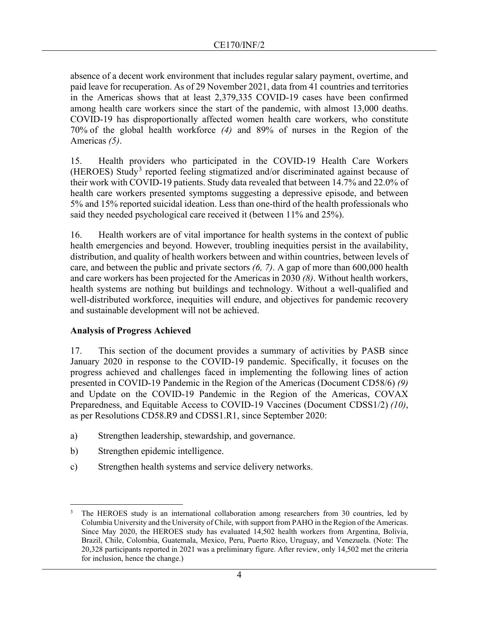absence of a decent work environment that includes regular salary payment, overtime, and paid leave for recuperation. As of 29 November 2021, data from 41 countries and territories in the Americas shows that at least 2,379,335 COVID-19 cases have been confirmed among health care workers since the start of the pandemic, with almost 13,000 deaths. COVID-19 has disproportionally affected women health care workers, who constitute 70% of the global health workforce *(4)* and 89% of nurses in the Region of the Americas *(5)*.

15. Health providers who participated in the COVID-19 Health Care Workers (HEROES) Study[3](#page-3-0) reported feeling stigmatized and/or discriminated against because of their work with COVID-19 patients. Study data revealed that between 14.7% and 22.0% of health care workers presented symptoms suggesting a depressive episode, and between 5% and 15% reported suicidal ideation. Less than one-third of the health professionals who said they needed psychological care received it (between 11% and 25%).

16. Health workers are of vital importance for health systems in the context of public health emergencies and beyond. However, troubling inequities persist in the availability, distribution, and quality of health workers between and within countries, between levels of care, and between the public and private sectors *(6, 7)*. A gap of more than 600,000 health and care workers has been projected for the Americas in 2030 *(8)*. Without health workers, health systems are nothing but buildings and technology. Without a well-qualified and well-distributed workforce, inequities will endure, and objectives for pandemic recovery and sustainable development will not be achieved.

# **Analysis of Progress Achieved**

17. This section of the document provides a summary of activities by PASB since January 2020 in response to the COVID-19 pandemic. Specifically, it focuses on the progress achieved and challenges faced in implementing the following lines of action presented in COVID-19 Pandemic in the Region of the Americas (Document CD58/6) *(9)*  and Update on the COVID-19 Pandemic in the Region of the Americas, COVAX Preparedness, and Equitable Access to COVID-19 Vaccines (Document CDSS1/2) *(10)*, as per Resolutions CD58.R9 and CDSS1.R1, since September 2020:

- a) Strengthen leadership, stewardship, and governance.
- b) Strengthen epidemic intelligence.
- c) Strengthen health systems and service delivery networks.

<span id="page-3-0"></span><sup>3</sup> The HEROES study is an international collaboration among researchers from 30 countries, led by Columbia University and the University of Chile, with support from PAHO in the Region of the Americas. Since May 2020, the HEROES study has evaluated 14,502 health workers from Argentina, Bolivia, Brazil, Chile, Colombia, Guatemala, Mexico, Peru, Puerto Rico, Uruguay, and Venezuela. (Note: The 20,328 participants reported in 2021 was a preliminary figure. After review, only 14,502 met the criteria for inclusion, hence the change.)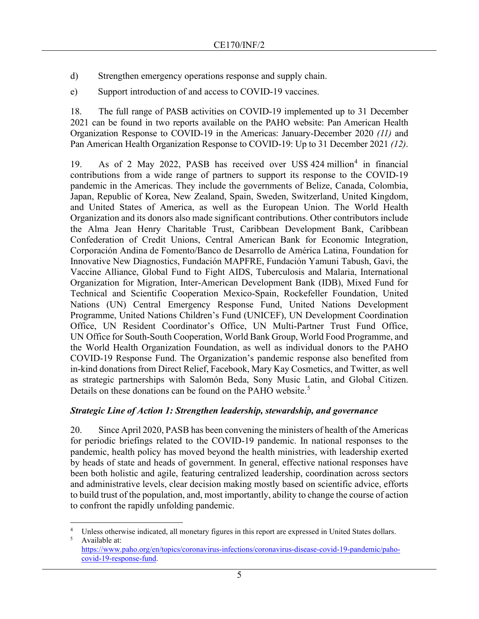- d) Strengthen emergency operations response and supply chain.
- e) Support introduction of and access to COVID-19 vaccines.

18. The full range of PASB activities on COVID-19 implemented up to 31 December 2021 can be found in two reports available on the PAHO website: Pan American Health Organization Response to COVID-19 in the Americas: January-December 2020 *(11)* and Pan American Health Organization Response to COVID-19: Up to 31 December 2021 *(12)*.

19. As of 2 May 2022, PASB has received over US\$ [4](#page-4-0)24 million<sup>4</sup> in financial contributions from a wide range of partners to support its response to the COVID-19 pandemic in the Americas. They include the governments of Belize, Canada, Colombia, Japan, Republic of Korea, New Zealand, Spain, Sweden, Switzerland, United Kingdom, and United States of America, as well as the European Union. The World Health Organization and its donors also made significant contributions. Other contributors include the Alma Jean Henry Charitable Trust, Caribbean Development Bank, Caribbean Confederation of Credit Unions, Central American Bank for Economic Integration, Corporación Andina de Fomento/Banco de Desarrollo de América Latina, Foundation for Innovative New Diagnostics, Fundación MAPFRE, Fundación Yamuni Tabush, Gavi, the Vaccine Alliance, Global Fund to Fight AIDS, Tuberculosis and Malaria, International Organization for Migration, Inter-American Development Bank (IDB), Mixed Fund for Technical and Scientific Cooperation Mexico-Spain, Rockefeller Foundation, United Nations (UN) Central Emergency Response Fund, United Nations Development Programme, United Nations Children's Fund (UNICEF), UN Development Coordination Office, UN Resident Coordinator's Office, UN Multi-Partner Trust Fund Office, UN Office for South-South Cooperation, World Bank Group, World Food Programme, and the World Health Organization Foundation, as well as individual donors to the PAHO COVID-19 Response Fund. The Organization's pandemic response also benefited from in-kind donations from Direct Relief, Facebook, Mary Kay Cosmetics, and Twitter, as well as strategic partnerships with Salomón Beda, Sony Music Latin, and Global Citizen. Details on these donations can be found on the PAHO website.<sup>[5](#page-4-1)</sup>

#### *Strategic Line of Action 1: Strengthen leadership, stewardship, and governance*

20. Since April 2020, PASB has been convening the ministers of health of the Americas for periodic briefings related to the COVID-19 pandemic. In national responses to the pandemic, health policy has moved beyond the health ministries, with leadership exerted by heads of state and heads of government. In general, effective national responses have been both holistic and agile, featuring centralized leadership, coordination across sectors and administrative levels, clear decision making mostly based on scientific advice, efforts to build trust of the population, and, most importantly, ability to change the course of action to confront the rapidly unfolding pandemic.

<span id="page-4-1"></span><span id="page-4-0"></span><sup>&</sup>lt;sup>4</sup> Unless otherwise indicated, all monetary figures in this report are expressed in United States dollars.<br><sup>5</sup> Available at: Available at:

[https://www.paho.org/en/topics/coronavirus-infections/coronavirus-disease-covid-19-pandemic/paho](https://www.paho.org/en/topics/coronavirus-infections/coronavirus-disease-covid-19-pandemic/paho-covid-19-response-fund)[covid-19-response-fund.](https://www.paho.org/en/topics/coronavirus-infections/coronavirus-disease-covid-19-pandemic/paho-covid-19-response-fund)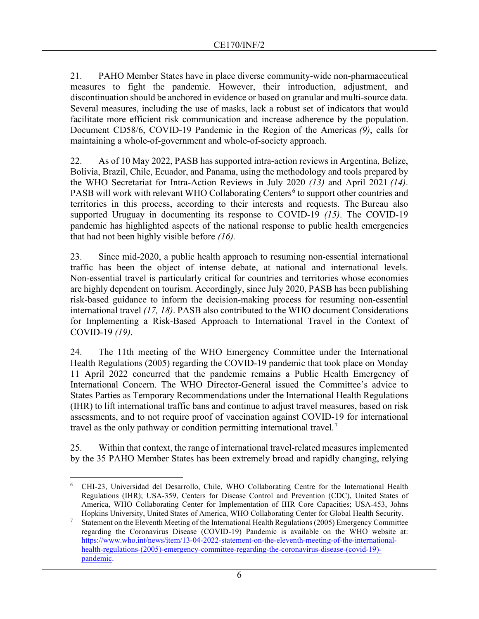21. PAHO Member States have in place diverse community-wide non-pharmaceutical measures to fight the pandemic. However, their introduction, adjustment, and discontinuation should be anchored in evidence or based on granular and multi-source data. Several measures, including the use of masks, lack a robust set of indicators that would facilitate more efficient risk communication and increase adherence by the population. Document CD58/6, COVID-19 Pandemic in the Region of the Americas *(9)*, calls for maintaining a whole-of-government and whole-of-society approach.

22. As of 10 May 2022, PASB has supported intra-action reviews in Argentina, Belize, Bolivia, Brazil, Chile, Ecuador, and Panama, using the methodology and tools prepared by the WHO Secretariat for Intra-Action Reviews in July 2020 *(13)* and April 2021 *(14)*. PASB will work with relevant WHO Collaborating Centers<sup>[6](#page-5-0)</sup> to support other countries and territories in this process, according to their interests and requests. The Bureau also supported Uruguay in documenting its response to COVID-19 *(15)*. The COVID-19 pandemic has highlighted aspects of the national response to public health emergencies that had not been highly visible before *(16).*

23. Since mid-2020, a public health approach to resuming non-essential international traffic has been the object of intense debate, at national and international levels. Non-essential travel is particularly critical for countries and territories whose economies are highly dependent on tourism. Accordingly, since July 2020, PASB has been publishing risk-based guidance to inform the decision-making process for resuming non-essential international travel *(17, 18)*. PASB also contributed to the WHO document Considerations for Implementing a Risk-Based Approach to International Travel in the Context of COVID-19 *(19)*.

24. The 11th meeting of the WHO Emergency Committee under the International Health Regulations (2005) regarding the COVID-19 pandemic that took place on Monday 11 April 2022 concurred that the pandemic remains a Public Health Emergency of International Concern. The WHO Director-General issued the Committee's advice to States Parties as Temporary Recommendations under the International Health Regulations (IHR) to lift international traffic bans and continue to adjust travel measures, based on risk assessments, and to not require proof of vaccination against COVID-19 for international travel as the only pathway or condition permitting international travel.<sup>[7](#page-5-1)</sup>

25. Within that context, the range of international travel-related measures implemented by the 35 PAHO Member States has been extremely broad and rapidly changing, relying

<span id="page-5-0"></span><sup>6</sup> CHI-23, Universidad del Desarrollo, Chile, WHO Collaborating Centre for the International Health Regulations (IHR); USA-359, Centers for Disease Control and Prevention (CDC), United States of America, WHO Collaborating Center for Implementation of IHR Core Capacities; USA-453, Johns Hopkins University, United States of America, WHO Collaborating Center for Global Health Security.

<span id="page-5-1"></span><sup>7</sup> Statement on the Eleventh Meeting of the International Health Regulations (2005) Emergency Committee regarding the Coronavirus Disease (COVID-19) Pandemic is available on the WHO website at: [https://www.who.int/news/item/13-04-2022-statement-on-the-eleventh-meeting-of-the-international](https://www.who.int/news/item/13-04-2022-statement-on-the-eleventh-meeting-of-the-international-health-regulations-(2005)-emergency-committee-regarding-the-coronavirus-disease-(covid-19)-pandemic)[health-regulations-\(2005\)-emergency-committee-regarding-the-coronavirus-disease-\(covid-19\)](https://www.who.int/news/item/13-04-2022-statement-on-the-eleventh-meeting-of-the-international-health-regulations-(2005)-emergency-committee-regarding-the-coronavirus-disease-(covid-19)-pandemic) [pandemic.](https://www.who.int/news/item/13-04-2022-statement-on-the-eleventh-meeting-of-the-international-health-regulations-(2005)-emergency-committee-regarding-the-coronavirus-disease-(covid-19)-pandemic)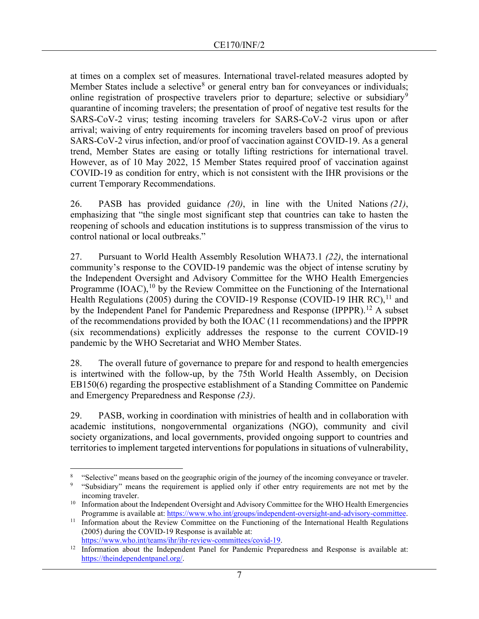at times on a complex set of measures. International travel-related measures adopted by Member States include a selective<sup>[8](#page-6-0)</sup> or general entry ban for conveyances or individuals; online registration of prospective travelers prior to departure; selective or subsidiary<sup>[9](#page-6-1)</sup> quarantine of incoming travelers; the presentation of proof of negative test results for the SARS-CoV-2 virus; testing incoming travelers for SARS-CoV-2 virus upon or after arrival; waiving of entry requirements for incoming travelers based on proof of previous SARS-CoV-2 virus infection, and/or proof of vaccination against COVID-19. As a general trend, Member States are easing or totally lifting restrictions for international travel. However, as of 10 May 2022, 15 Member States required proof of vaccination against COVID-19 as condition for entry, which is not consistent with the IHR provisions or the current Temporary Recommendations.

26. PASB has provided guidance *(20)*, in line with the United Nations *(21)*, emphasizing that "the single most significant step that countries can take to hasten the reopening of schools and education institutions is to suppress transmission of the virus to control national or local outbreaks."

27. Pursuant to World Health Assembly Resolution WHA73.1 *(22)*, the international community's response to the COVID-19 pandemic was the object of intense scrutiny by the Independent Oversight and Advisory Committee for the WHO Health Emergencies Programme  $(IOAC)$ , <sup>[10](#page-6-2)</sup> by the Review Committee on the Functioning of the International Health Regulations (2005) during the COVID-19 Response (COVID-19 IHR RC),<sup>[11](#page-6-3)</sup> and by the Independent Panel for Pandemic Preparedness and Response (IPPPR).<sup>[12](#page-6-4)</sup> A subset of the recommendations provided by both the IOAC (11 recommendations) and the IPPPR (six recommendations) explicitly addresses the response to the current COVID-19 pandemic by the WHO Secretariat and WHO Member States.

28. The overall future of governance to prepare for and respond to health emergencies is intertwined with the follow-up, by the 75th World Health Assembly, on Decision EB150(6) regarding the prospective establishment of a Standing Committee on Pandemic and Emergency Preparedness and Response *(23)*.

29. PASB, working in coordination with ministries of health and in collaboration with academic institutions, nongovernmental organizations (NGO), community and civil society organizations, and local governments, provided ongoing support to countries and territories to implement targeted interventions for populations in situations of vulnerability,

<span id="page-6-0"></span><sup>8</sup> "Selective" means based on the geographic origin of the journey of the incoming conveyance or traveler.

<span id="page-6-1"></span><sup>&</sup>quot;Subsidiary" means the requirement is applied only if other entry requirements are not met by the incoming traveler.

<span id="page-6-2"></span><sup>&</sup>lt;sup>10</sup> Information about the Independent Oversight and Advisory Committee for the WHO Health Emergencies Programme is available at: [https://www.who.int/groups/independent-oversight-and-advisory-committee.](https://www.who.int/groups/independent-oversight-and-advisory-committee)

<span id="page-6-3"></span><sup>&</sup>lt;sup>11</sup> Information about the Review Committee on the Functioning of the International Health Regulations (2005) during the COVID-19 Response is available at:

<span id="page-6-4"></span>[https://www.who.int/teams/ihr/ihr-review-committees/covid-19.](https://www.who.int/teams/ihr/ihr-review-committees/covid-19)<br><sup>12</sup> Information about the Independent Panel for Pandemic Preparedness and Response is available at:

[https://theindependentpanel.org/.](https://theindependentpanel.org/)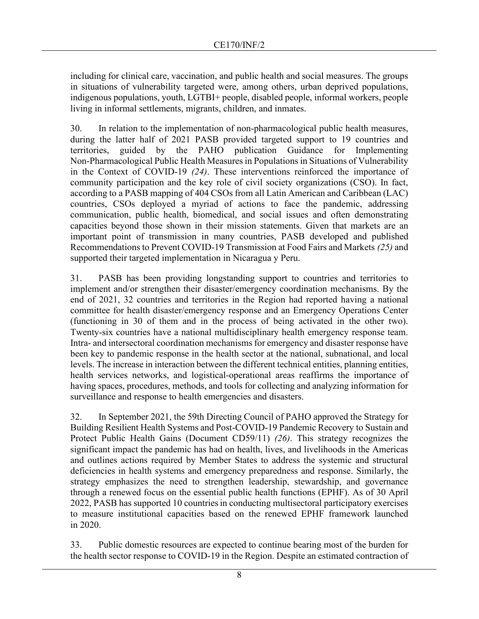including for clinical care, vaccination, and public health and social measures. The groups in situations of vulnerability targeted were, among others, urban deprived populations, indigenous populations, youth, LGTBI+ people, disabled people, informal workers, people living in informal settlements, migrants, children, and inmates.

30. In relation to the implementation of non-pharmacological public health measures, during the latter half of 2021 PASB provided targeted support to 19 countries and territories, guided by the PAHO publication Guidance for Implementing Non-Pharmacological Public Health Measures in Populations in Situations of Vulnerability in the Context of COVID-19 *(24)*. These interventions reinforced the importance of community participation and the key role of civil society organizations (CSO). In fact, according to a PASB mapping of 404 CSOs from all Latin American and Caribbean (LAC) countries, CSOs deployed a myriad of actions to face the pandemic, addressing communication, public health, biomedical, and social issues and often demonstrating capacities beyond those shown in their mission statements. Given that markets are an important point of transmission in many countries, PASB developed and published Recommendations to Prevent COVID-19 Transmission at Food Fairs and Markets *(25)* and supported their targeted implementation in Nicaragua y Peru.

31. PASB has been providing longstanding support to countries and territories to implement and/or strengthen their disaster/emergency coordination mechanisms. By the end of 2021, 32 countries and territories in the Region had reported having a national committee for health disaster/emergency response and an Emergency Operations Center (functioning in 30 of them and in the process of being activated in the other two). Twenty-six countries have a national multidisciplinary health emergency response team. Intra- and intersectoral coordination mechanisms for emergency and disaster response have been key to pandemic response in the health sector at the national, subnational, and local levels. The increase in interaction between the different technical entities, planning entities, health services networks, and logistical-operational areas reaffirms the importance of having spaces, procedures, methods, and tools for collecting and analyzing information for surveillance and response to health emergencies and disasters.

32. In September 2021, the 59th Directing Council of PAHO approved the Strategy for Building Resilient Health Systems and Post-COVID-19 Pandemic Recovery to Sustain and Protect Public Health Gains (Document CD59/11) *(26)*. This strategy recognizes the significant impact the pandemic has had on health, lives, and livelihoods in the Americas and outlines actions required by Member States to address the systemic and structural deficiencies in health systems and emergency preparedness and response. Similarly, the strategy emphasizes the need to strengthen leadership, stewardship, and governance through a renewed focus on the essential public health functions (EPHF). As of 30 April 2022, PASB has supported 10 countries in conducting multisectoral participatory exercises to measure institutional capacities based on the renewed EPHF framework launched in 2020.

33. Public domestic resources are expected to continue bearing most of the burden for the health sector response to COVID-19 in the Region. Despite an estimated contraction of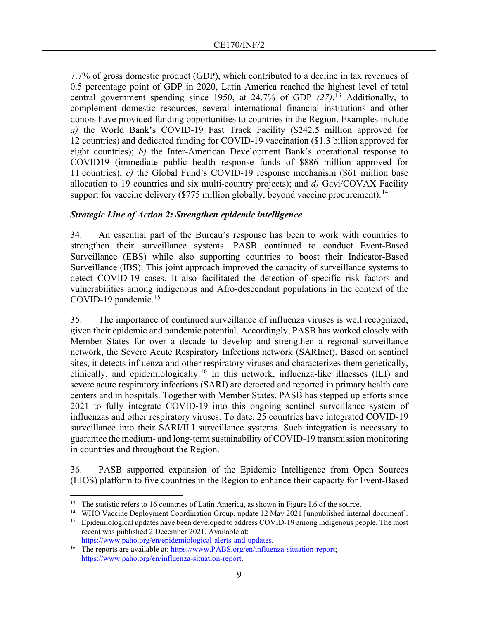7.7% of gross domestic product (GDP), which contributed to a decline in tax revenues of 0.5 percentage point of GDP in 2020, Latin America reached the highest level of total central government spending since 1950, at 24.7% of GDP *(27)*. [13](#page-8-0) Additionally, to complement domestic resources, several international financial institutions and other donors have provided funding opportunities to countries in the Region. Examples include *a)* the World Bank's COVID-19 Fast Track Facility (\$242.5 million approved for 12 countries) and dedicated funding for COVID-19 vaccination (\$1.3 billion approved for eight countries); *b)* the Inter-American Development Bank's operational response to COVID19 (immediate public health response funds of \$886 million approved for 11 countries); *c)* the Global Fund's COVID-19 response mechanism (\$61 million base allocation to 19 countries and six multi-country projects); and *d)* Gavi/COVAX Facility support for vaccine delivery (\$775 million globally, beyond vaccine procurement).<sup>[14](#page-8-1)</sup>

# *Strategic Line of Action 2: Strengthen epidemic intelligence*

34. An essential part of the Bureau's response has been to work with countries to strengthen their surveillance systems. PASB continued to conduct Event-Based Surveillance (EBS) while also supporting countries to boost their Indicator-Based Surveillance (IBS). This joint approach improved the capacity of surveillance systems to detect COVID-19 cases. It also facilitated the detection of specific risk factors and vulnerabilities among indigenous and Afro-descendant populations in the context of the COVID-19 pandemic. $15$ 

35. The importance of continued surveillance of influenza viruses is well recognized, given their epidemic and pandemic potential. Accordingly, PASB has worked closely with Member States for over a decade to develop and strengthen a regional surveillance network, the Severe Acute Respiratory Infections network (SARInet). Based on sentinel sites, it detects influenza and other respiratory viruses and characterizes them genetically, clinically, and epidemiologically.<sup>[16](#page-8-3)</sup> In this network, influenza-like illnesses (ILI) and severe acute respiratory infections (SARI) are detected and reported in primary health care centers and in hospitals. Together with Member States, PASB has stepped up efforts since 2021 to fully integrate COVID-19 into this ongoing sentinel surveillance system of influenzas and other respiratory viruses. To date, 25 countries have integrated COVID-19 surveillance into their SARI/ILI surveillance systems. Such integration is necessary to guarantee the medium- and long-term sustainability of COVID-19 transmission monitoring in countries and throughout the Region.

36. PASB supported expansion of the Epidemic Intelligence from Open Sources (EIOS) platform to five countries in the Region to enhance their capacity for Event-Based

<span id="page-8-0"></span><sup>&</sup>lt;sup>13</sup> The statistic refers to 16 countries of Latin America, as shown in Figure I.6 of the source.

<span id="page-8-2"></span><span id="page-8-1"></span><sup>&</sup>lt;sup>14</sup> WHO Vaccine Deployment Coordination Group, update 12 May 2021 [unpublished internal document].<br><sup>15</sup> Epidemiological updates have been developed to address COVID-19 among indigenous people. The most

recent was published 2 December 2021. Available at: [https://www.paho.org/en/epidemiological-alerts-and-updates.](https://www.paho.org/en/epidemiological-alerts-and-updates)

<span id="page-8-3"></span><sup>&</sup>lt;sup>16</sup> The reports are available at: [https://www.PABS.org/en/influenza-situation-report;](https://www.paho.org/en/influenza-situation-report) https://www.paho.org/en/influenza-situation-report.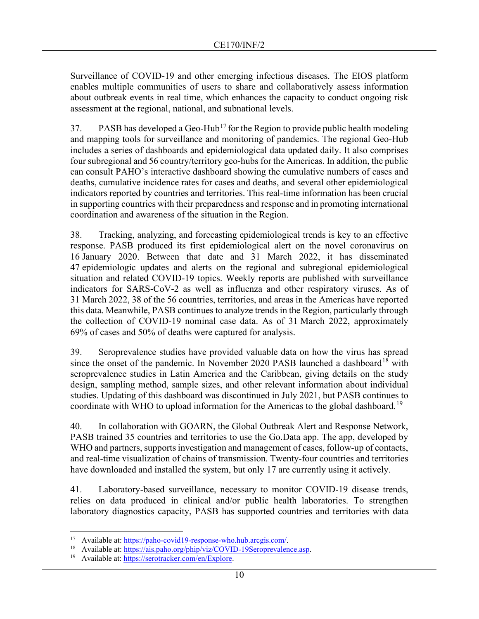Surveillance of COVID-19 and other emerging infectious diseases. The EIOS platform enables multiple communities of users to share and collaboratively assess information about outbreak events in real time, which enhances the capacity to conduct ongoing risk assessment at the regional, national, and subnational levels.

37. PASB has developed a Geo-Hub<sup>[17](#page-9-0)</sup> for the Region to provide public health modeling and mapping tools for surveillance and monitoring of pandemics. The regional Geo-Hub includes a series of dashboards and epidemiological data updated daily. It also comprises four subregional and 56 country/territory geo-hubs for the Americas. In addition, the public can consult PAHO's interactive dashboard showing the cumulative numbers of cases and deaths, cumulative incidence rates for cases and deaths, and several other epidemiological indicators reported by countries and territories. This real-time information has been crucial in supporting countries with their preparedness and response and in promoting international coordination and awareness of the situation in the Region.

38. Tracking, analyzing, and forecasting epidemiological trends is key to an effective response. PASB produced its first epidemiological alert on the novel coronavirus on 16 January 2020. Between that date and 31 March 2022, it has disseminated 47 epidemiologic updates and alerts on the regional and subregional epidemiological situation and related COVID-19 topics. Weekly reports are published with surveillance indicators for SARS-CoV-2 as well as influenza and other respiratory viruses. As of 31 March 2022, 38 of the 56 countries, territories, and areas in the Americas have reported this data. Meanwhile, PASB continues to analyze trends in the Region, particularly through the collection of COVID-19 nominal case data. As of 31 March 2022, approximately 69% of cases and 50% of deaths were captured for analysis.

39. Seroprevalence studies have provided valuable data on how the virus has spread since the onset of the pandemic. In November 2020 PASB launched a dashboard<sup>[18](#page-9-1)</sup> with seroprevalence studies in Latin America and the Caribbean, giving details on the study design, sampling method, sample sizes, and other relevant information about individual studies. Updating of this dashboard was discontinued in July 2021, but PASB continues to coordinate with WHO to upload information for the Americas to the global dashboard.<sup>[19](#page-9-2)</sup>

40. In collaboration with GOARN, the Global Outbreak Alert and Response Network, PASB trained 35 countries and territories to use the Go.Data app. The app, developed by WHO and partners, supports investigation and management of cases, follow-up of contacts, and real-time visualization of chains of transmission. Twenty-four countries and territories have downloaded and installed the system, but only 17 are currently using it actively.

41. Laboratory-based surveillance, necessary to monitor COVID-19 disease trends, relies on data produced in clinical and/or public health laboratories. To strengthen laboratory diagnostics capacity, PASB has supported countries and territories with data

<span id="page-9-1"></span><span id="page-9-0"></span><sup>17</sup> Available at: [https://paho-covid19-response-who.hub.arcgis.com/.](https://paho-covid19-response-who.hub.arcgis.com/)

Available at: [https://ais.paho.org/phip/viz/COVID-19Seroprevalence.asp.](https://ais.paho.org/phip/viz/COVID-19Seroprevalence.asp)

<span id="page-9-2"></span>Available at: [https://serotracker.com/en/Explore.](https://serotracker.com/en/Explore)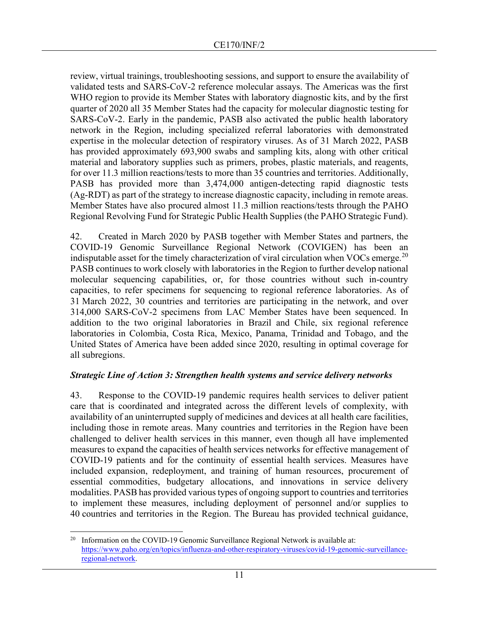review, virtual trainings, troubleshooting sessions, and support to ensure the availability of validated tests and SARS-CoV-2 reference molecular assays. The Americas was the first WHO region to provide its Member States with laboratory diagnostic kits, and by the first quarter of 2020 all 35 Member States had the capacity for molecular diagnostic testing for SARS-CoV-2. Early in the pandemic, PASB also activated the public health laboratory network in the Region, including specialized referral laboratories with demonstrated expertise in the molecular detection of respiratory viruses. As of 31 March 2022, PASB has provided approximately 693,900 swabs and sampling kits, along with other critical material and laboratory supplies such as primers, probes, plastic materials, and reagents, for over 11.3 million reactions/tests to more than 35 countries and territories. Additionally, PASB has provided more than 3,474,000 antigen-detecting rapid diagnostic tests (Ag-RDT) as part of the strategy to increase diagnostic capacity, including in remote areas. Member States have also procured almost 11.3 million reactions/tests through the PAHO Regional Revolving Fund for Strategic Public Health Supplies (the PAHO Strategic Fund).

42. Created in March 2020 by PASB together with Member States and partners, the COVID-19 Genomic Surveillance Regional Network (COVIGEN) has been an indisputable asset for the timely characterization of viral circulation when VOCs emerge.<sup>[20](#page-10-0)</sup> PASB continues to work closely with laboratories in the Region to further develop national molecular sequencing capabilities, or, for those countries without such in-country capacities, to refer specimens for sequencing to regional reference laboratories. As of 31 March 2022, 30 countries and territories are participating in the network, and over 314,000 SARS-CoV-2 specimens from LAC Member States have been sequenced. In addition to the two original laboratories in Brazil and Chile, six regional reference laboratories in Colombia, Costa Rica, Mexico, Panama, Trinidad and Tobago, and the United States of America have been added since 2020, resulting in optimal coverage for all subregions.

# *Strategic Line of Action 3: Strengthen health systems and service delivery networks*

43. Response to the COVID-19 pandemic requires health services to deliver patient care that is coordinated and integrated across the different levels of complexity, with availability of an uninterrupted supply of medicines and devices at all health care facilities, including those in remote areas. Many countries and territories in the Region have been challenged to deliver health services in this manner, even though all have implemented measures to expand the capacities of health services networks for effective management of COVID-19 patients and for the continuity of essential health services. Measures have included expansion, redeployment, and training of human resources, procurement of essential commodities, budgetary allocations, and innovations in service delivery modalities. PASB has provided various types of ongoing support to countries and territories to implement these measures, including deployment of personnel and/or supplies to 40 countries and territories in the Region. The Bureau has provided technical guidance,

<span id="page-10-0"></span><sup>&</sup>lt;sup>20</sup> Information on the COVID-19 Genomic Surveillance Regional Network is available at: [https://www.paho.org/en/topics/influenza-and-other-respiratory-viruses/covid-19-genomic-surveillance](https://www.paho.org/en/topics/influenza-and-other-respiratory-viruses/covid-19-genomic-surveillance-regional-network)[regional-network.](https://www.paho.org/en/topics/influenza-and-other-respiratory-viruses/covid-19-genomic-surveillance-regional-network)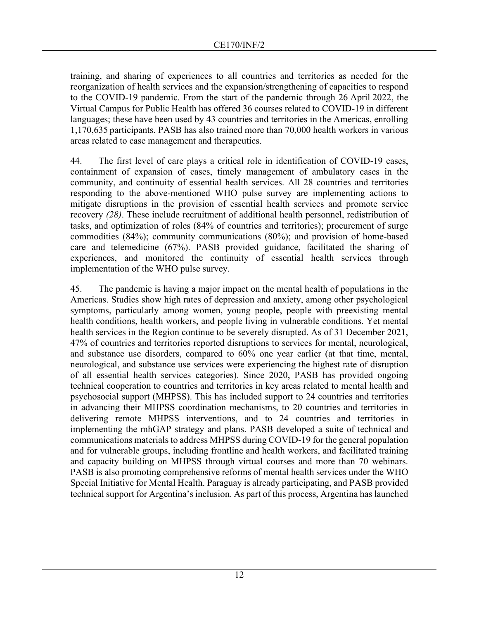training, and sharing of experiences to all countries and territories as needed for the reorganization of health services and the expansion/strengthening of capacities to respond to the COVID-19 pandemic. From the start of the pandemic through 26 April 2022, the Virtual Campus for Public Health has offered 36 courses related to COVID-19 in different languages; these have been used by 43 countries and territories in the Americas, enrolling 1,170,635 participants. PASB has also trained more than 70,000 health workers in various areas related to case management and therapeutics.

44. The first level of care plays a critical role in identification of COVID-19 cases, containment of expansion of cases, timely management of ambulatory cases in the community, and continuity of essential health services. All 28 countries and territories responding to the above-mentioned WHO pulse survey are implementing actions to mitigate disruptions in the provision of essential health services and promote service recovery *(28)*. These include recruitment of additional health personnel, redistribution of tasks, and optimization of roles (84% of countries and territories); procurement of surge commodities (84%); community communications (80%); and provision of home-based care and telemedicine (67%). PASB provided guidance, facilitated the sharing of experiences, and monitored the continuity of essential health services through implementation of the WHO pulse survey.

45. The pandemic is having a major impact on the mental health of populations in the Americas. Studies show high rates of depression and anxiety, among other psychological symptoms, particularly among women, young people, people with preexisting mental health conditions, health workers, and people living in vulnerable conditions. Yet mental health services in the Region continue to be severely disrupted. As of 31 December 2021, 47% of countries and territories reported disruptions to services for mental, neurological, and substance use disorders, compared to 60% one year earlier (at that time, mental, neurological, and substance use services were experiencing the highest rate of disruption of all essential health services categories). Since 2020, PASB has provided ongoing technical cooperation to countries and territories in key areas related to mental health and psychosocial support (MHPSS). This has included support to 24 countries and territories in advancing their MHPSS coordination mechanisms, to 20 countries and territories in delivering remote MHPSS interventions, and to 24 countries and territories in implementing the mhGAP strategy and plans. PASB developed a suite of technical and communications materials to address MHPSS during COVID-19 for the general population and for vulnerable groups, including frontline and health workers, and facilitated training and capacity building on MHPSS through virtual courses and more than 70 webinars. PASB is also promoting comprehensive reforms of mental health services under the WHO Special Initiative for Mental Health. Paraguay is already participating, and PASB provided technical support for Argentina's inclusion. As part of this process, Argentina has launched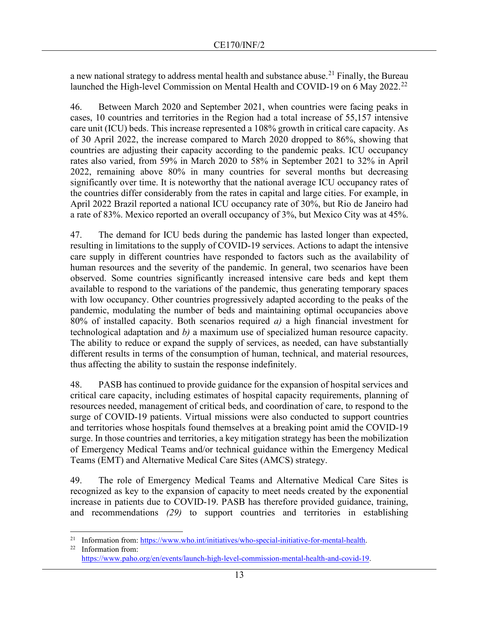a new national strategy to address mental health and substance abuse.<sup>[21](#page-12-0)</sup> Finally, the Bureau launched the High-level Commission on Mental Health and COVID-19 on 6 May 20[22](#page-12-1).<sup>22</sup>

46. Between March 2020 and September 2021, when countries were facing peaks in cases, 10 countries and territories in the Region had a total increase of 55,157 intensive care unit (ICU) beds. This increase represented a 108% growth in critical care capacity. As of 30 April 2022, the increase compared to March 2020 dropped to 86%, showing that countries are adjusting their capacity according to the pandemic peaks. ICU occupancy rates also varied, from 59% in March 2020 to 58% in September 2021 to 32% in April 2022, remaining above 80% in many countries for several months but decreasing significantly over time. It is noteworthy that the national average ICU occupancy rates of the countries differ considerably from the rates in capital and large cities. For example, in April 2022 Brazil reported a national ICU occupancy rate of 30%, but Rio de Janeiro had a rate of 83%. Mexico reported an overall occupancy of 3%, but Mexico City was at 45%.

47. The demand for ICU beds during the pandemic has lasted longer than expected, resulting in limitations to the supply of COVID-19 services. Actions to adapt the intensive care supply in different countries have responded to factors such as the availability of human resources and the severity of the pandemic. In general, two scenarios have been observed. Some countries significantly increased intensive care beds and kept them available to respond to the variations of the pandemic, thus generating temporary spaces with low occupancy. Other countries progressively adapted according to the peaks of the pandemic, modulating the number of beds and maintaining optimal occupancies above 80% of installed capacity. Both scenarios required *a)* a high financial investment for technological adaptation and *b)* a maximum use of specialized human resource capacity. The ability to reduce or expand the supply of services, as needed, can have substantially different results in terms of the consumption of human, technical, and material resources, thus affecting the ability to sustain the response indefinitely.

48. PASB has continued to provide guidance for the expansion of hospital services and critical care capacity, including estimates of hospital capacity requirements, planning of resources needed, management of critical beds, and coordination of care, to respond to the surge of COVID-19 patients. Virtual missions were also conducted to support countries and territories whose hospitals found themselves at a breaking point amid the COVID-19 surge. In those countries and territories, a key mitigation strategy has been the mobilization of Emergency Medical Teams and/or technical guidance within the Emergency Medical Teams (EMT) and Alternative Medical Care Sites (AMCS) strategy.

49. The role of Emergency Medical Teams and Alternative Medical Care Sites is recognized as key to the expansion of capacity to meet needs created by the exponential increase in patients due to COVID-19. PASB has therefore provided guidance, training, and recommendations *(29)* to support countries and territories in establishing

<span id="page-12-0"></span><sup>&</sup>lt;sup>21</sup> Information from:  $\frac{https://www.who.int/initatives/who-specificinititative-for-mental-health.$ <sup>22</sup> Information from:

<span id="page-12-1"></span>Information from: [https://www.paho.org/en/events/launch-high-level-commission-mental-health-and-covid-19.](https://www.paho.org/en/events/launch-high-level-commission-mental-health-and-covid-19)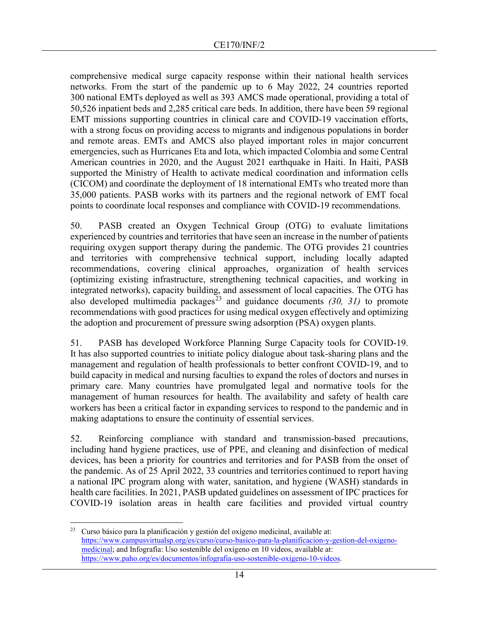comprehensive medical surge capacity response within their national health services networks. From the start of the pandemic up to 6 May 2022, 24 countries reported 300 national EMTs deployed as well as 393 AMCS made operational, providing a total of 50,526 inpatient beds and 2,285 critical care beds. In addition, there have been 59 regional EMT missions supporting countries in clinical care and COVID-19 vaccination efforts, with a strong focus on providing access to migrants and indigenous populations in border and remote areas. EMTs and AMCS also played important roles in major concurrent emergencies, such as Hurricanes Eta and Iota, which impacted Colombia and some Central American countries in 2020, and the August 2021 earthquake in Haiti. In Haiti, PASB supported the Ministry of Health to activate medical coordination and information cells (CICOM) and coordinate the deployment of 18 international EMTs who treated more than 35,000 patients. PASB works with its partners and the regional network of EMT focal points to coordinate local responses and compliance with COVID-19 recommendations.

50. PASB created an Oxygen Technical Group (OTG) to evaluate limitations experienced by countries and territories that have seen an increase in the number of patients requiring oxygen support therapy during the pandemic. The OTG provides 21 countries and territories with comprehensive technical support, including locally adapted recommendations, covering clinical approaches, organization of health services (optimizing existing infrastructure, strengthening technical capacities, and working in integrated networks), capacity building, and assessment of local capacities. The OTG has also developed multimedia packages<sup>[23](#page-13-0)</sup> and guidance documents  $(30, 31)$  to promote recommendations with good practices for using medical oxygen effectively and optimizing the adoption and procurement of pressure swing adsorption (PSA) oxygen plants.

51. PASB has developed Workforce Planning Surge Capacity tools for COVID-19. It has also supported countries to initiate policy dialogue about task-sharing plans and the management and regulation of health professionals to better confront COVID-19, and to build capacity in medical and nursing faculties to expand the roles of doctors and nurses in primary care. Many countries have promulgated legal and normative tools for the management of human resources for health. The availability and safety of health care workers has been a critical factor in expanding services to respond to the pandemic and in making adaptations to ensure the continuity of essential services.

52. Reinforcing compliance with standard and transmission-based precautions, including hand hygiene practices, use of PPE, and cleaning and disinfection of medical devices, has been a priority for countries and territories and for PASB from the onset of the pandemic. As of 25 April 2022, 33 countries and territories continued to report having a national IPC program along with water, sanitation, and hygiene (WASH) standards in health care facilities. In 2021, PASB updated guidelines on assessment of IPC practices for COVID-19 isolation areas in health care facilities and provided virtual country

<span id="page-13-0"></span> $23$  Curso básico para la planificación y gestión del oxígeno medicinal, available at: [https://www.campusvirtualsp.org/es/curso/curso-basico-para-la-planificacion-y-gestion-del-oxigeno](https://www.campusvirtualsp.org/es/curso/curso-basico-para-la-planificacion-y-gestion-del-oxigeno-medicinal)[medicinal;](https://www.campusvirtualsp.org/es/curso/curso-basico-para-la-planificacion-y-gestion-del-oxigeno-medicinal) and Infografía: Uso sostenible del oxígeno en 10 videos, available at: [https://www.paho.org/es/documentos/infografia-uso-sostenible-oxigeno-10-videos.](https://www.paho.org/es/documentos/infografia-uso-sostenible-oxigeno-10-videos)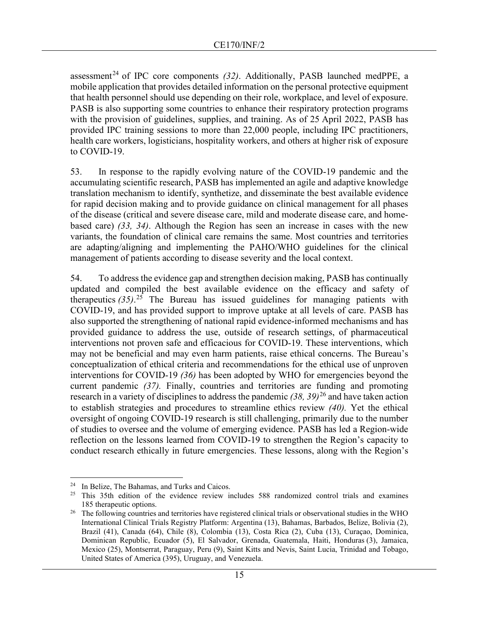assessment<sup>[24](#page-14-0)</sup> of IPC core components  $(32)$ . Additionally, PASB launched medPPE, a mobile application that provides detailed information on the personal protective equipment that health personnel should use depending on their role, workplace, and level of exposure. PASB is also supporting some countries to enhance their respiratory protection programs with the provision of guidelines, supplies, and training. As of 25 April 2022, PASB has provided IPC training sessions to more than 22,000 people, including IPC practitioners, health care workers, logisticians, hospitality workers, and others at higher risk of exposure to COVID-19.

53. In response to the rapidly evolving nature of the COVID-19 pandemic and the accumulating scientific research, PASB has implemented an agile and adaptive knowledge translation mechanism to identify, synthetize, and disseminate the best available evidence for rapid decision making and to provide guidance on clinical management for all phases of the disease (critical and severe disease care, mild and moderate disease care, and homebased care) *(33, 34)*. Although the Region has seen an increase in cases with the new variants, the foundation of clinical care remains the same. Most countries and territories are adapting/aligning and implementing the PAHO/WHO guidelines for the clinical management of patients according to disease severity and the local context.

54. To address the evidence gap and strengthen decision making, PASB has continually updated and compiled the best available evidence on the efficacy and safety of therapeutics *(35)*. [25](#page-14-1) The Bureau has issued guidelines for managing patients with COVID-19, and has provided support to improve uptake at all levels of care. PASB has also supported the strengthening of national rapid evidence-informed mechanisms and has provided guidance to address the use, outside of research settings, of pharmaceutical interventions not proven safe and efficacious for COVID-19. These interventions, which may not be beneficial and may even harm patients, raise ethical concerns. The Bureau's conceptualization of ethical criteria and recommendations for the ethical use of unproven interventions for COVID-19 *(36)* has been adopted by WHO for emergencies beyond the current pandemic *(37).* Finally, countries and territories are funding and promoting research in a variety of disciplines to address the pandemic *(38, 39)* [26](#page-14-2) and have taken action to establish strategies and procedures to streamline ethics review *(40).* Yet the ethical oversight of ongoing COVID-19 research is still challenging, primarily due to the number of studies to oversee and the volume of emerging evidence. PASB has led a Region-wide reflection on the lessons learned from COVID-19 to strengthen the Region's capacity to conduct research ethically in future emergencies. These lessons, along with the Region's

<span id="page-14-0"></span><sup>24</sup> In Belize, The Bahamas, and Turks and Caicos.

<span id="page-14-1"></span><sup>&</sup>lt;sup>25</sup> This 35th edition of the evidence review includes 588 randomized control trials and examines 185 therapeutic options.

<span id="page-14-2"></span><sup>&</sup>lt;sup>26</sup> The following countries and territories have registered clinical trials or observational studies in the WHO International Clinical Trials Registry Platform: Argentina (13), Bahamas, Barbados, Belize, Bolivia (2), Brazil (41), Canada (64), Chile (8), Colombia (13), Costa Rica (2), Cuba (13), Curaçao, Dominica, Dominican Republic, Ecuador (5), El Salvador, Grenada, Guatemala, Haiti, Honduras (3), Jamaica, Mexico (25), Montserrat, Paraguay, Peru (9), Saint Kitts and Nevis, Saint Lucia, Trinidad and Tobago, United States of America (395), Uruguay, and Venezuela.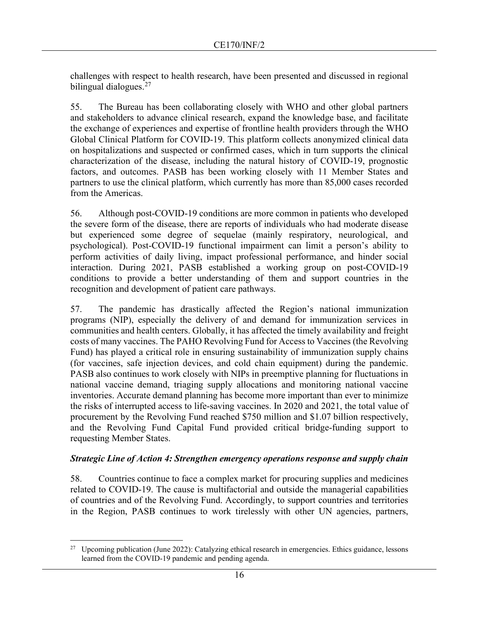challenges with respect to health research, have been presented and discussed in regional bilingual dialogues.<sup>[27](#page-15-0)</sup>

55. The Bureau has been collaborating closely with WHO and other global partners and stakeholders to advance clinical research, expand the knowledge base, and facilitate the exchange of experiences and expertise of frontline health providers through the WHO Global Clinical Platform for COVID-19. This platform collects anonymized clinical data on hospitalizations and suspected or confirmed cases, which in turn supports the clinical characterization of the disease, including the natural history of COVID-19, prognostic factors, and outcomes. PASB has been working closely with 11 Member States and partners to use the clinical platform, which currently has more than 85,000 cases recorded from the Americas.

56. Although post-COVID-19 conditions are more common in patients who developed the severe form of the disease, there are reports of individuals who had moderate disease but experienced some degree of sequelae (mainly respiratory, neurological, and psychological). Post-COVID-19 functional impairment can limit a person's ability to perform activities of daily living, impact professional performance, and hinder social interaction. During 2021, PASB established a working group on post-COVID-19 conditions to provide a better understanding of them and support countries in the recognition and development of patient care pathways.

57. The pandemic has drastically affected the Region's national immunization programs (NIP), especially the delivery of and demand for immunization services in communities and health centers. Globally, it has affected the timely availability and freight costs of many vaccines. The PAHO Revolving Fund for Access to Vaccines (the Revolving Fund) has played a critical role in ensuring sustainability of immunization supply chains (for vaccines, safe injection devices, and cold chain equipment) during the pandemic. PASB also continues to work closely with NIPs in preemptive planning for fluctuations in national vaccine demand, triaging supply allocations and monitoring national vaccine inventories. Accurate demand planning has become more important than ever to minimize the risks of interrupted access to life-saving vaccines. In 2020 and 2021, the total value of procurement by the Revolving Fund reached \$750 million and \$1.07 billion respectively, and the Revolving Fund Capital Fund provided critical bridge-funding support to requesting Member States.

#### *Strategic Line of Action 4: Strengthen emergency operations response and supply chain*

58. Countries continue to face a complex market for procuring supplies and medicines related to COVID-19. The cause is multifactorial and outside the managerial capabilities of countries and of the Revolving Fund. Accordingly, to support countries and territories in the Region, PASB continues to work tirelessly with other UN agencies, partners,

<span id="page-15-0"></span><sup>&</sup>lt;sup>27</sup> Upcoming publication (June 2022): Catalyzing ethical research in emergencies. Ethics guidance, lessons learned from the COVID-19 pandemic and pending agenda.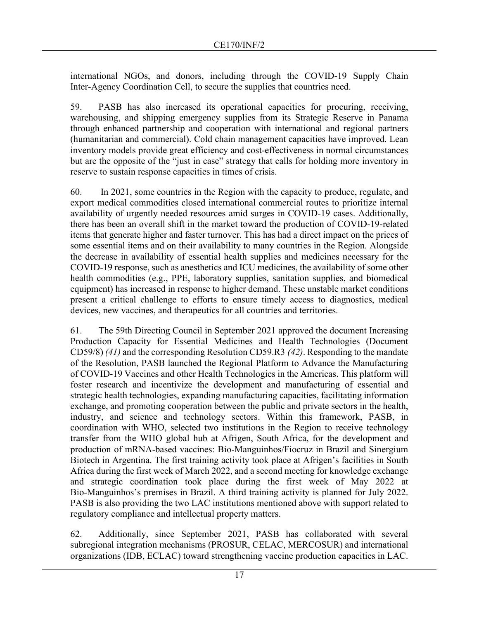international NGOs, and donors, including through the COVID-19 Supply Chain Inter-Agency Coordination Cell, to secure the supplies that countries need.

59. PASB has also increased its operational capacities for procuring, receiving, warehousing, and shipping emergency supplies from its Strategic Reserve in Panama through enhanced partnership and cooperation with international and regional partners (humanitarian and commercial). Cold chain management capacities have improved. Lean inventory models provide great efficiency and cost-effectiveness in normal circumstances but are the opposite of the "just in case" strategy that calls for holding more inventory in reserve to sustain response capacities in times of crisis.

60. In 2021, some countries in the Region with the capacity to produce, regulate, and export medical commodities closed international commercial routes to prioritize internal availability of urgently needed resources amid surges in COVID-19 cases. Additionally, there has been an overall shift in the market toward the production of COVID-19-related items that generate higher and faster turnover. This has had a direct impact on the prices of some essential items and on their availability to many countries in the Region. Alongside the decrease in availability of essential health supplies and medicines necessary for the COVID-19 response, such as anesthetics and ICU medicines, the availability of some other health commodities (e.g., PPE, laboratory supplies, sanitation supplies, and biomedical equipment) has increased in response to higher demand. These unstable market conditions present a critical challenge to efforts to ensure timely access to diagnostics, medical devices, new vaccines, and therapeutics for all countries and territories.

61. The 59th Directing Council in September 2021 approved the document Increasing Production Capacity for Essential Medicines and Health Technologies (Document CD59/8) *(41)* and the corresponding Resolution CD59.R3 *(42)*. Responding to the mandate of the Resolution, PASB launched the Regional Platform to Advance the Manufacturing of COVID-19 Vaccines and other Health Technologies in the Americas. This platform will foster research and incentivize the development and manufacturing of essential and strategic health technologies, expanding manufacturing capacities, facilitating information exchange, and promoting cooperation between the public and private sectors in the health, industry, and science and technology sectors. Within this framework, PASB, in coordination with WHO, selected two institutions in the Region to receive technology transfer from the WHO global hub at Afrigen, South Africa, for the development and production of mRNA-based vaccines: Bio-Manguinhos/Fiocruz in Brazil and Sinergium Biotech in Argentina. The first training activity took place at Afrigen's facilities in South Africa during the first week of March 2022, and a second meeting for knowledge exchange and strategic coordination took place during the first week of May 2022 at Bio-Manguinhos's premises in Brazil. A third training activity is planned for July 2022. PASB is also providing the two LAC institutions mentioned above with support related to regulatory compliance and intellectual property matters.

62. Additionally, since September 2021, PASB has collaborated with several subregional integration mechanisms (PROSUR, CELAC, MERCOSUR) and international organizations (IDB, ECLAC) toward strengthening vaccine production capacities in LAC.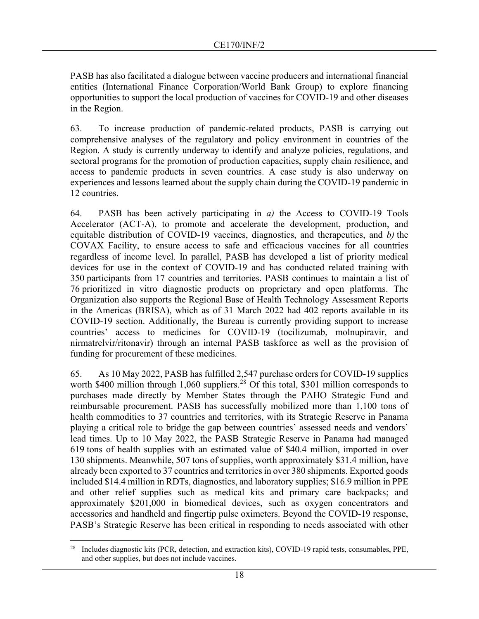PASB has also facilitated a dialogue between vaccine producers and international financial entities (International Finance Corporation/World Bank Group) to explore financing opportunities to support the local production of vaccines for COVID-19 and other diseases in the Region.

63. To increase production of pandemic-related products, PASB is carrying out comprehensive analyses of the regulatory and policy environment in countries of the Region. A study is currently underway to identify and analyze policies, regulations, and sectoral programs for the promotion of production capacities, supply chain resilience, and access to pandemic products in seven countries. A case study is also underway on experiences and lessons learned about the supply chain during the COVID-19 pandemic in 12 countries.

64. PASB has been actively participating in *a)* the Access to COVID-19 Tools Accelerator (ACT-A), to promote and accelerate the development, production, and equitable distribution of COVID-19 vaccines, diagnostics, and therapeutics, and *b)* the COVAX Facility, to ensure access to safe and efficacious vaccines for all countries regardless of income level. In parallel, PASB has developed a list of priority medical devices for use in the context of COVID-19 and has conducted related training with 350 participants from 17 countries and territories. PASB continues to maintain a list of 76 prioritized in vitro diagnostic products on proprietary and open platforms. The Organization also supports the Regional Base of Health Technology Assessment Reports in the Americas (BRISA), which as of 31 March 2022 had 402 reports available in its COVID-19 section. Additionally, the Bureau is currently providing support to increase countries' access to medicines for COVID-19 (tocilizumab, molnupiravir, and nirmatrelvir/ritonavir) through an internal PASB taskforce as well as the provision of funding for procurement of these medicines.

65. As 10 May 2022, PASB has fulfilled 2,547 purchase orders for COVID-19 supplies worth \$400 million through 1,060 suppliers.<sup>[28](#page-17-0)</sup> Of this total, \$301 million corresponds to purchases made directly by Member States through the PAHO Strategic Fund and reimbursable procurement. PASB has successfully mobilized more than 1,100 tons of health commodities to 37 countries and territories, with its Strategic Reserve in Panama playing a critical role to bridge the gap between countries' assessed needs and vendors' lead times. Up to 10 May 2022, the PASB Strategic Reserve in Panama had managed 619 tons of health supplies with an estimated value of \$40.4 million, imported in over 130 shipments. Meanwhile, 507 tons of supplies, worth approximately \$31.4 million, have already been exported to 37 countries and territories in over 380 shipments. Exported goods included \$14.4 million in RDTs, diagnostics, and laboratory supplies; \$16.9 million in PPE and other relief supplies such as medical kits and primary care backpacks; and approximately \$201,000 in biomedical devices, such as oxygen concentrators and accessories and handheld and fingertip pulse oximeters. Beyond the COVID-19 response, PASB's Strategic Reserve has been critical in responding to needs associated with other

<span id="page-17-0"></span><sup>&</sup>lt;sup>28</sup> Includes diagnostic kits (PCR, detection, and extraction kits), COVID-19 rapid tests, consumables, PPE, and other supplies, but does not include vaccines.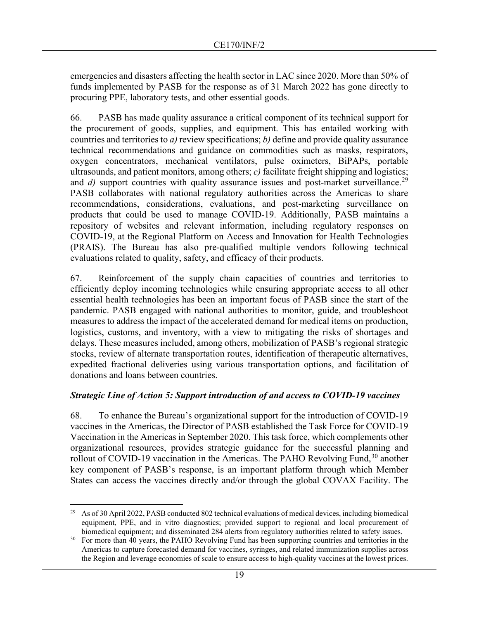emergencies and disasters affecting the health sector in LAC since 2020. More than 50% of funds implemented by PASB for the response as of 31 March 2022 has gone directly to procuring PPE, laboratory tests, and other essential goods.

66. PASB has made quality assurance a critical component of its technical support for the procurement of goods, supplies, and equipment. This has entailed working with countries and territories to *a)* review specifications; *b)* define and provide quality assurance technical recommendations and guidance on commodities such as masks, respirators, oxygen concentrators, mechanical ventilators, pulse oximeters, BiPAPs, portable ultrasounds, and patient monitors, among others; *c)* facilitate freight shipping and logistics; and *d*) support countries with quality assurance issues and post-market surveillance.<sup>[29](#page-18-0)</sup> PASB collaborates with national regulatory authorities across the Americas to share recommendations, considerations, evaluations, and post-marketing surveillance on products that could be used to manage COVID-19. Additionally, PASB maintains a repository of websites and relevant information, including regulatory responses on COVID-19, at the Regional Platform on Access and Innovation for Health Technologies (PRAIS). The Bureau has also pre-qualified multiple vendors following technical evaluations related to quality, safety, and efficacy of their products.

67. Reinforcement of the supply chain capacities of countries and territories to efficiently deploy incoming technologies while ensuring appropriate access to all other essential health technologies has been an important focus of PASB since the start of the pandemic. PASB engaged with national authorities to monitor, guide, and troubleshoot measures to address the impact of the accelerated demand for medical items on production, logistics, customs, and inventory, with a view to mitigating the risks of shortages and delays. These measures included, among others, mobilization of PASB's regional strategic stocks, review of alternate transportation routes, identification of therapeutic alternatives, expedited fractional deliveries using various transportation options, and facilitation of donations and loans between countries.

#### *Strategic Line of Action 5: Support introduction of and access to COVID-19 vaccines*

68. To enhance the Bureau's organizational support for the introduction of COVID-19 vaccines in the Americas, the Director of PASB established the Task Force for COVID-19 Vaccination in the Americas in September 2020. This task force, which complements other organizational resources, provides strategic guidance for the successful planning and rollout of COVID-19 vaccination in the Americas. The PAHO Revolving Fund,  $30$  another key component of PASB's response, is an important platform through which Member States can access the vaccines directly and/or through the global COVAX Facility. The

<span id="page-18-0"></span><sup>&</sup>lt;sup>29</sup> As of 30 April 2022, PASB conducted 802 technical evaluations of medical devices, including biomedical equipment, PPE, and in vitro diagnostics; provided support to regional and local procurement of biomedical equipment; and disseminated 284 alerts from regulatory authorities related to safety issues.

<span id="page-18-1"></span><sup>&</sup>lt;sup>30</sup> For more than 40 years, the PAHO Revolving Fund has been supporting countries and territories in the Americas to capture forecasted demand for vaccines, syringes, and related immunization supplies across the Region and leverage economies of scale to ensure access to high-quality vaccines at the lowest prices.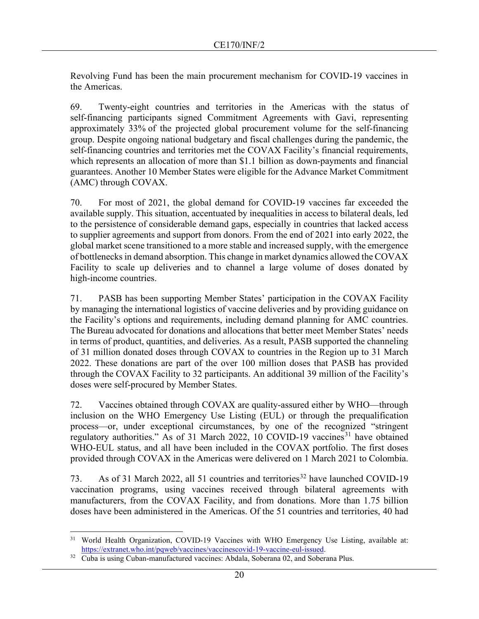Revolving Fund has been the main procurement mechanism for COVID-19 vaccines in the Americas.

69. Twenty-eight countries and territories in the Americas with the status of self-financing participants signed Commitment Agreements with Gavi, representing approximately 33% of the projected global procurement volume for the self-financing group. Despite ongoing national budgetary and fiscal challenges during the pandemic, the self-financing countries and territories met the COVAX Facility's financial requirements, which represents an allocation of more than \$1.1 billion as down-payments and financial guarantees. Another 10 Member States were eligible for the Advance Market Commitment (AMC) through COVAX.

70. For most of 2021, the global demand for COVID-19 vaccines far exceeded the available supply. This situation, accentuated by inequalities in access to bilateral deals, led to the persistence of considerable demand gaps, especially in countries that lacked access to supplier agreements and support from donors. From the end of 2021 into early 2022, the global market scene transitioned to a more stable and increased supply, with the emergence of bottlenecks in demand absorption. This change in market dynamics allowed the COVAX Facility to scale up deliveries and to channel a large volume of doses donated by high-income countries.

71. PASB has been supporting Member States' participation in the COVAX Facility by managing the international logistics of vaccine deliveries and by providing guidance on the Facility's options and requirements, including demand planning for AMC countries. The Bureau advocated for donations and allocations that better meet Member States' needs in terms of product, quantities, and deliveries. As a result, PASB supported the channeling of 31 million donated doses through COVAX to countries in the Region up to 31 March 2022. These donations are part of the over 100 million doses that PASB has provided through the COVAX Facility to 32 participants. An additional 39 million of the Facility's doses were self-procured by Member States.

72. Vaccines obtained through COVAX are quality-assured either by WHO—through inclusion on the WHO Emergency Use Listing (EUL) or through the prequalification process—or, under exceptional circumstances, by one of the recognized "stringent regulatory authorities." As of [31](#page-19-0) March 2022, 10 COVID-19 vaccines<sup>31</sup> have obtained WHO-EUL status, and all have been included in the COVAX portfolio. The first doses provided through COVAX in the Americas were delivered on 1 March 2021 to Colombia.

73. As of 31 March 2022, all 51 countries and territories<sup>[32](#page-19-1)</sup> have launched COVID-19 vaccination programs, using vaccines received through bilateral agreements with manufacturers, from the COVAX Facility, and from donations. More than 1.75 billion doses have been administered in the Americas. Of the 51 countries and territories, 40 had

<span id="page-19-0"></span><sup>&</sup>lt;sup>31</sup> World Health Organization, COVID-19 Vaccines with WHO Emergency Use Listing, available at: [https://extranet.who.int/pqweb/vaccines/vaccinescovid-19-vaccine-eul-issued.](https://extranet.who.int/pqweb/vaccines/vaccinescovid-19-vaccine-eul-issued)

<span id="page-19-1"></span><sup>&</sup>lt;sup>32</sup> Cuba is using Cuban-manufactured vaccines: Abdala, Soberana 02, and Soberana Plus.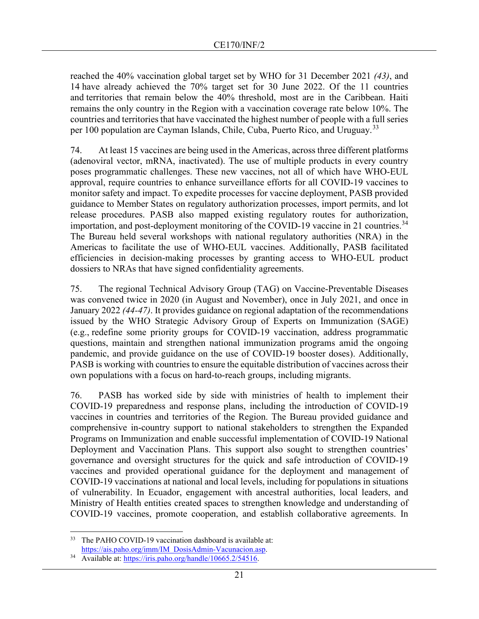reached the 40% vaccination global target set by WHO for 31 December 2021 *(43)*, and 14 have already achieved the 70% target set for 30 June 2022. Of the 11 countries and territories that remain below the 40% threshold, most are in the Caribbean. Haiti remains the only country in the Region with a vaccination coverage rate below 10%. The countries and territories that have vaccinated the highest number of people with a full series per 100 population are Cayman Islands, Chile, Cuba, Puerto Rico, and Uruguay.<sup>[33](#page-20-0)</sup>

74. At least 15 vaccines are being used in the Americas, across three different platforms (adenoviral vector, mRNA, inactivated). The use of multiple products in every country poses programmatic challenges. These new vaccines, not all of which have WHO-EUL approval, require countries to enhance surveillance efforts for all COVID-19 vaccines to monitor safety and impact. To expedite processes for vaccine deployment, PASB provided guidance to Member States on regulatory authorization processes, import permits, and lot release procedures. PASB also mapped existing regulatory routes for authorization, importation, and post-deployment monitoring of the COVID-19 vaccine in 21 countries.<sup>[34](#page-20-1)</sup> The Bureau held several workshops with national regulatory authorities (NRA) in the Americas to facilitate the use of WHO-EUL vaccines. Additionally, PASB facilitated efficiencies in decision-making processes by granting access to WHO-EUL product dossiers to NRAs that have signed confidentiality agreements.

75. The regional Technical Advisory Group (TAG) on Vaccine-Preventable Diseases was convened twice in 2020 (in August and November), once in July 2021, and once in January 2022 *(44-47)*. It provides guidance on regional adaptation of the recommendations issued by the WHO Strategic Advisory Group of Experts on Immunization (SAGE) (e.g., redefine some priority groups for COVID-19 vaccination, address programmatic questions, maintain and strengthen national immunization programs amid the ongoing pandemic, and provide guidance on the use of COVID-19 booster doses). Additionally, PASB is working with countries to ensure the equitable distribution of vaccines across their own populations with a focus on hard-to-reach groups, including migrants.

76. PASB has worked side by side with ministries of health to implement their COVID-19 preparedness and response plans, including the introduction of COVID-19 vaccines in countries and territories of the Region. The Bureau provided guidance and comprehensive in-country support to national stakeholders to strengthen the Expanded Programs on Immunization and enable successful implementation of COVID-19 National Deployment and Vaccination Plans. This support also sought to strengthen countries' governance and oversight structures for the quick and safe introduction of COVID-19 vaccines and provided operational guidance for the deployment and management of COVID-19 vaccinations at national and local levels, including for populations in situations of vulnerability. In Ecuador, engagement with ancestral authorities, local leaders, and Ministry of Health entities created spaces to strengthen knowledge and understanding of COVID-19 vaccines, promote cooperation, and establish collaborative agreements. In

<span id="page-20-0"></span><sup>33</sup> The PAHO COVID-19 vaccination dashboard is available at: [https://ais.paho.org/imm/IM\\_DosisAdmin-Vacunacion.asp.](https://ais.paho.org/imm/IM_DosisAdmin-Vacunacion.asp)

<span id="page-20-1"></span><sup>34</sup> Available at: [https://iris.paho.org/handle/10665.2/54516.](https://iris.paho.org/handle/10665.2/54516)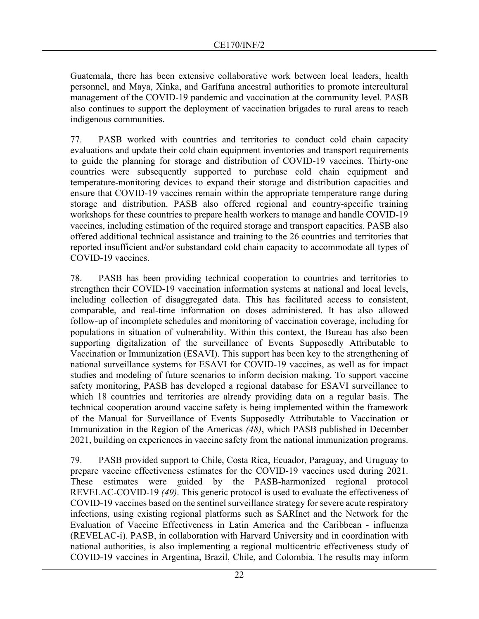Guatemala, there has been extensive collaborative work between local leaders, health personnel, and Maya, Xinka, and Garífuna ancestral authorities to promote intercultural management of the COVID-19 pandemic and vaccination at the community level. PASB also continues to support the deployment of vaccination brigades to rural areas to reach indigenous communities.

77. PASB worked with countries and territories to conduct cold chain capacity evaluations and update their cold chain equipment inventories and transport requirements to guide the planning for storage and distribution of COVID-19 vaccines. Thirty-one countries were subsequently supported to purchase cold chain equipment and temperature-monitoring devices to expand their storage and distribution capacities and ensure that COVID-19 vaccines remain within the appropriate temperature range during storage and distribution. PASB also offered regional and country-specific training workshops for these countries to prepare health workers to manage and handle COVID-19 vaccines, including estimation of the required storage and transport capacities. PASB also offered additional technical assistance and training to the 26 countries and territories that reported insufficient and/or substandard cold chain capacity to accommodate all types of COVID-19 vaccines.

78. PASB has been providing technical cooperation to countries and territories to strengthen their COVID-19 vaccination information systems at national and local levels, including collection of disaggregated data. This has facilitated access to consistent, comparable, and real-time information on doses administered. It has also allowed follow-up of incomplete schedules and monitoring of vaccination coverage, including for populations in situation of vulnerability. Within this context, the Bureau has also been supporting digitalization of the surveillance of Events Supposedly Attributable to Vaccination or Immunization (ESAVI). This support has been key to the strengthening of national surveillance systems for ESAVI for COVID-19 vaccines, as well as for impact studies and modeling of future scenarios to inform decision making. To support vaccine safety monitoring, PASB has developed a regional database for ESAVI surveillance to which 18 countries and territories are already providing data on a regular basis. The technical cooperation around vaccine safety is being implemented within the framework of the Manual for Surveillance of Events Supposedly Attributable to Vaccination or Immunization in the Region of the Americas *(48)*, which PASB published in December 2021, building on experiences in vaccine safety from the national immunization programs.

79. PASB provided support to Chile, Costa Rica, Ecuador, Paraguay, and Uruguay to prepare vaccine effectiveness estimates for the COVID-19 vaccines used during 2021. These estimates were guided by the PASB-harmonized regional protocol REVELAC-COVID-19 *(49)*. This generic protocol is used to evaluate the effectiveness of COVID-19 vaccines based on the sentinel surveillance strategy for severe acute respiratory infections, using existing regional platforms such as SARInet and the Network for the Evaluation of Vaccine Effectiveness in Latin America and the Caribbean - influenza (REVELAC-i). PASB, in collaboration with Harvard University and in coordination with national authorities, is also implementing a regional multicentric effectiveness study of COVID-19 vaccines in Argentina, Brazil, Chile, and Colombia. The results may inform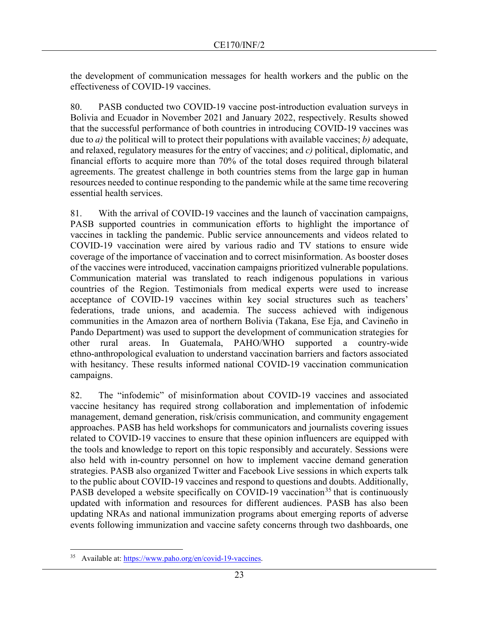the development of communication messages for health workers and the public on the effectiveness of COVID-19 vaccines.

80. PASB conducted two COVID-19 vaccine post-introduction evaluation surveys in Bolivia and Ecuador in November 2021 and January 2022, respectively. Results showed that the successful performance of both countries in introducing COVID-19 vaccines was due to *a)* the political will to protect their populations with available vaccines; *b)* adequate, and relaxed, regulatory measures for the entry of vaccines; and *c)* political, diplomatic, and financial efforts to acquire more than 70% of the total doses required through bilateral agreements. The greatest challenge in both countries stems from the large gap in human resources needed to continue responding to the pandemic while at the same time recovering essential health services.

81. With the arrival of COVID-19 vaccines and the launch of vaccination campaigns, PASB supported countries in communication efforts to highlight the importance of vaccines in tackling the pandemic. Public service announcements and videos related to COVID-19 vaccination were aired by various radio and TV stations to ensure wide coverage of the importance of vaccination and to correct misinformation. As booster doses of the vaccines were introduced, vaccination campaigns prioritized vulnerable populations. Communication material was translated to reach indigenous populations in various countries of the Region. Testimonials from medical experts were used to increase acceptance of COVID-19 vaccines within key social structures such as teachers' federations, trade unions, and academia. The success achieved with indigenous communities in the Amazon area of northern Bolivia (Takana, Ese Eja, and Cavineño in Pando Department) was used to support the development of communication strategies for other rural areas. In Guatemala, PAHO/WHO supported a country-wide ethno-anthropological evaluation to understand vaccination barriers and factors associated with hesitancy. These results informed national COVID-19 vaccination communication campaigns.

82. The "infodemic" of misinformation about COVID-19 vaccines and associated vaccine hesitancy has required strong collaboration and implementation of infodemic management, demand generation, risk/crisis communication, and community engagement approaches. PASB has held workshops for communicators and journalists covering issues related to COVID-19 vaccines to ensure that these opinion influencers are equipped with the tools and knowledge to report on this topic responsibly and accurately. Sessions were also held with in-country personnel on how to implement vaccine demand generation strategies. PASB also organized Twitter and Facebook Live sessions in which experts talk to the public about COVID-19 vaccines and respond to questions and doubts. Additionally, PASB developed a website specifically on COVID-19 vaccination<sup>[35](#page-22-0)</sup> that is continuously updated with information and resources for different audiences. PASB has also been updating NRAs and national immunization programs about emerging reports of adverse events following immunization and vaccine safety concerns through two dashboards, one

<span id="page-22-0"></span><sup>35</sup> Available at: [https://www.paho.org/en/covid-19-vaccines.](https://www.paho.org/en/covid-19-vaccines)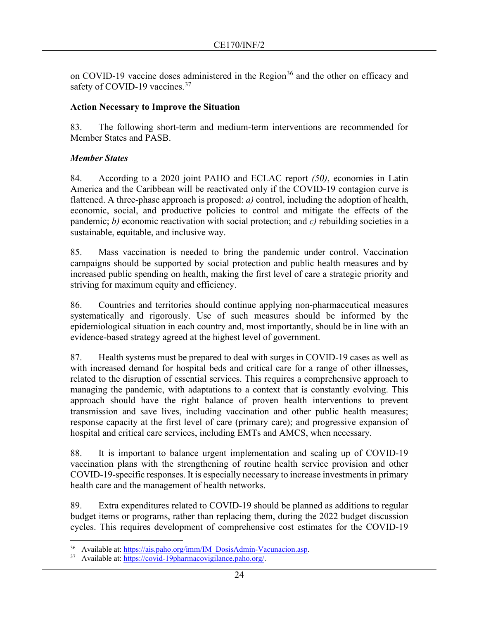on COVID-19 vaccine doses administered in the Region<sup>[36](#page-23-0)</sup> and the other on efficacy and safety of COVID-19 vaccines.<sup>[37](#page-23-1)</sup>

#### **Action Necessary to Improve the Situation**

83. The following short-term and medium-term interventions are recommended for Member States and PASB.

## *Member States*

84. According to a 2020 joint PAHO and ECLAC report *(50)*, economies in Latin America and the Caribbean will be reactivated only if the COVID-19 contagion curve is flattened. A three-phase approach is proposed: *a)* control, including the adoption of health, economic, social, and productive policies to control and mitigate the effects of the pandemic; *b)* economic reactivation with social protection; and *c)* rebuilding societies in a sustainable, equitable, and inclusive way.

85. Mass vaccination is needed to bring the pandemic under control. Vaccination campaigns should be supported by social protection and public health measures and by increased public spending on health, making the first level of care a strategic priority and striving for maximum equity and efficiency.

86. Countries and territories should continue applying non-pharmaceutical measures systematically and rigorously. Use of such measures should be informed by the epidemiological situation in each country and, most importantly, should be in line with an evidence-based strategy agreed at the highest level of government.

87. Health systems must be prepared to deal with surges in COVID-19 cases as well as with increased demand for hospital beds and critical care for a range of other illnesses, related to the disruption of essential services. This requires a comprehensive approach to managing the pandemic, with adaptations to a context that is constantly evolving. This approach should have the right balance of proven health interventions to prevent transmission and save lives, including vaccination and other public health measures; response capacity at the first level of care (primary care); and progressive expansion of hospital and critical care services, including EMTs and AMCS, when necessary.

88. It is important to balance urgent implementation and scaling up of COVID-19 vaccination plans with the strengthening of routine health service provision and other COVID-19-specific responses. It is especially necessary to increase investments in primary health care and the management of health networks.

89. Extra expenditures related to COVID-19 should be planned as additions to regular budget items or programs, rather than replacing them, during the 2022 budget discussion cycles. This requires development of comprehensive cost estimates for the COVID-19

<span id="page-23-1"></span><span id="page-23-0"></span><sup>&</sup>lt;sup>36</sup> Available at: [https://ais.paho.org/imm/IM\\_DosisAdmin-Vacunacion.asp.](https://ais.paho.org/imm/IM_DosisAdmin-Vacunacion.asp)

<sup>37</sup> Available at: [https://covid-19pharmacovigilance.paho.org/.](https://covid-19pharmacovigilance.paho.org/)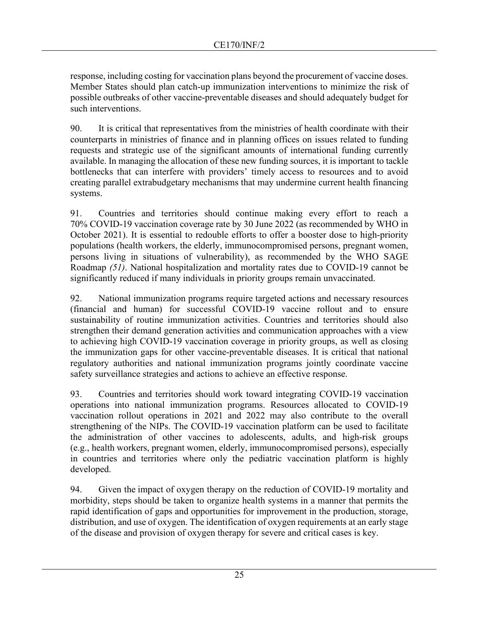response, including costing for vaccination plans beyond the procurement of vaccine doses. Member States should plan catch-up immunization interventions to minimize the risk of possible outbreaks of other vaccine-preventable diseases and should adequately budget for such interventions.

90. It is critical that representatives from the ministries of health coordinate with their counterparts in ministries of finance and in planning offices on issues related to funding requests and strategic use of the significant amounts of international funding currently available. In managing the allocation of these new funding sources, it is important to tackle bottlenecks that can interfere with providers' timely access to resources and to avoid creating parallel extrabudgetary mechanisms that may undermine current health financing systems.

91. Countries and territories should continue making every effort to reach a 70% COVID-19 vaccination coverage rate by 30 June 2022 (as recommended by WHO in October 2021). It is essential to redouble efforts to offer a booster dose to high-priority populations (health workers, the elderly, immunocompromised persons, pregnant women, persons living in situations of vulnerability), as recommended by the WHO SAGE Roadmap *(51)*. National hospitalization and mortality rates due to COVID-19 cannot be significantly reduced if many individuals in priority groups remain unvaccinated.

92. National immunization programs require targeted actions and necessary resources (financial and human) for successful COVID-19 vaccine rollout and to ensure sustainability of routine immunization activities. Countries and territories should also strengthen their demand generation activities and communication approaches with a view to achieving high COVID-19 vaccination coverage in priority groups, as well as closing the immunization gaps for other vaccine-preventable diseases. It is critical that national regulatory authorities and national immunization programs jointly coordinate vaccine safety surveillance strategies and actions to achieve an effective response.

93. Countries and territories should work toward integrating COVID-19 vaccination operations into national immunization programs. Resources allocated to COVID-19 vaccination rollout operations in 2021 and 2022 may also contribute to the overall strengthening of the NIPs. The COVID-19 vaccination platform can be used to facilitate the administration of other vaccines to adolescents, adults, and high-risk groups (e.g., health workers, pregnant women, elderly, immunocompromised persons), especially in countries and territories where only the pediatric vaccination platform is highly developed.

94. Given the impact of oxygen therapy on the reduction of COVID-19 mortality and morbidity, steps should be taken to organize health systems in a manner that permits the rapid identification of gaps and opportunities for improvement in the production, storage, distribution, and use of oxygen. The identification of oxygen requirements at an early stage of the disease and provision of oxygen therapy for severe and critical cases is key.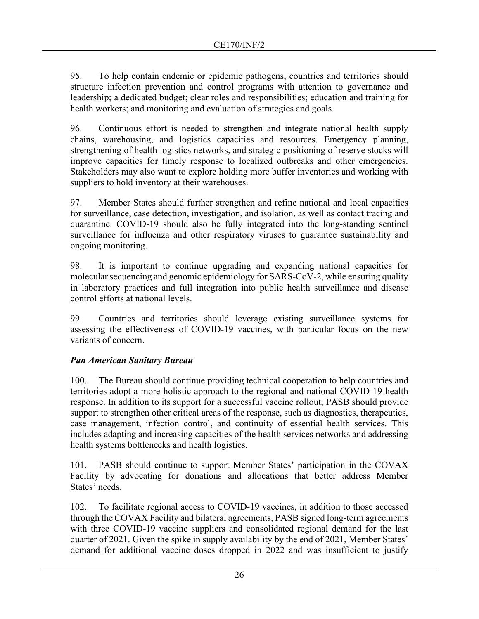95. To help contain endemic or epidemic pathogens, countries and territories should structure infection prevention and control programs with attention to governance and leadership; a dedicated budget; clear roles and responsibilities; education and training for health workers; and monitoring and evaluation of strategies and goals.

96. Continuous effort is needed to strengthen and integrate national health supply chains, warehousing, and logistics capacities and resources. Emergency planning, strengthening of health logistics networks, and strategic positioning of reserve stocks will improve capacities for timely response to localized outbreaks and other emergencies. Stakeholders may also want to explore holding more buffer inventories and working with suppliers to hold inventory at their warehouses.

97. Member States should further strengthen and refine national and local capacities for surveillance, case detection, investigation, and isolation, as well as contact tracing and quarantine. COVID-19 should also be fully integrated into the long-standing sentinel surveillance for influenza and other respiratory viruses to guarantee sustainability and ongoing monitoring.

98. It is important to continue upgrading and expanding national capacities for molecular sequencing and genomic epidemiology for SARS-CoV-2, while ensuring quality in laboratory practices and full integration into public health surveillance and disease control efforts at national levels.

99. Countries and territories should leverage existing surveillance systems for assessing the effectiveness of COVID-19 vaccines, with particular focus on the new variants of concern.

# *Pan American Sanitary Bureau*

100. The Bureau should continue providing technical cooperation to help countries and territories adopt a more holistic approach to the regional and national COVID-19 health response. In addition to its support for a successful vaccine rollout, PASB should provide support to strengthen other critical areas of the response, such as diagnostics, therapeutics, case management, infection control, and continuity of essential health services. This includes adapting and increasing capacities of the health services networks and addressing health systems bottlenecks and health logistics.

101. PASB should continue to support Member States' participation in the COVAX Facility by advocating for donations and allocations that better address Member States' needs.

102. To facilitate regional access to COVID-19 vaccines, in addition to those accessed through the COVAX Facility and bilateral agreements, PASB signed long-term agreements with three COVID-19 vaccine suppliers and consolidated regional demand for the last quarter of 2021. Given the spike in supply availability by the end of 2021, Member States' demand for additional vaccine doses dropped in 2022 and was insufficient to justify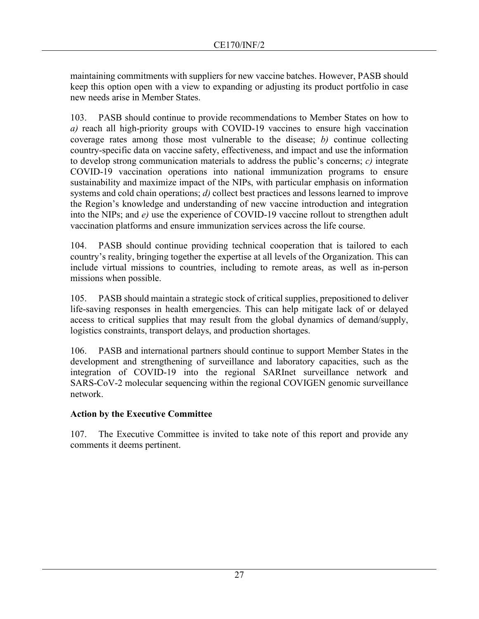maintaining commitments with suppliers for new vaccine batches. However, PASB should keep this option open with a view to expanding or adjusting its product portfolio in case new needs arise in Member States.

103. PASB should continue to provide recommendations to Member States on how to *a)* reach all high-priority groups with COVID-19 vaccines to ensure high vaccination coverage rates among those most vulnerable to the disease; *b)* continue collecting country-specific data on vaccine safety, effectiveness, and impact and use the information to develop strong communication materials to address the public's concerns; *c)* integrate COVID-19 vaccination operations into national immunization programs to ensure sustainability and maximize impact of the NIPs, with particular emphasis on information systems and cold chain operations; *d)* collect best practices and lessons learned to improve the Region's knowledge and understanding of new vaccine introduction and integration into the NIPs; and *e)* use the experience of COVID-19 vaccine rollout to strengthen adult vaccination platforms and ensure immunization services across the life course.

104. PASB should continue providing technical cooperation that is tailored to each country's reality, bringing together the expertise at all levels of the Organization. This can include virtual missions to countries, including to remote areas, as well as in-person missions when possible.

105. PASB should maintain a strategic stock of critical supplies, prepositioned to deliver life-saving responses in health emergencies. This can help mitigate lack of or delayed access to critical supplies that may result from the global dynamics of demand/supply, logistics constraints, transport delays, and production shortages.

106. PASB and international partners should continue to support Member States in the development and strengthening of surveillance and laboratory capacities, such as the integration of COVID-19 into the regional SARInet surveillance network and SARS-CoV-2 molecular sequencing within the regional COVIGEN genomic surveillance network.

# **Action by the Executive Committee**

107. The Executive Committee is invited to take note of this report and provide any comments it deems pertinent.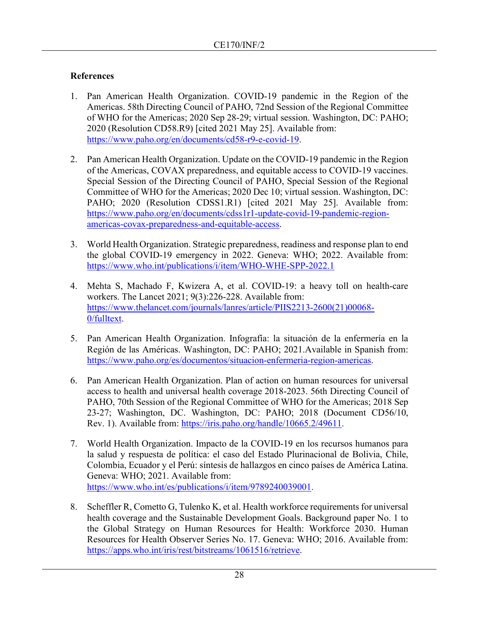# **References**

- 1. Pan American Health Organization. COVID-19 pandemic in the Region of the Americas. 58th Directing Council of PAHO, 72nd Session of the Regional Committee of WHO for the Americas; 2020 Sep 28-29; virtual session. Washington, DC: PAHO; 2020 (Resolution CD58.R9) [cited 2021 May 25]. Available from: [https://www.paho.org/en/documents/cd58-r9-e-covid-19.](https://www.paho.org/en/documents/cd58-r9-e-covid-19)
- 2. Pan American Health Organization. Update on the COVID-19 pandemic in the Region of the Americas, COVAX preparedness, and equitable access to COVID-19 vaccines. Special Session of the Directing Council of PAHO, Special Session of the Regional Committee of WHO for the Americas; 2020 Dec 10; virtual session. Washington, DC: PAHO; 2020 (Resolution CDSS1.R1) [cited 2021 May 25]. Available from: [https://www.paho.org/en/documents/cdss1r1-update-covid-19-pandemic-region](https://www.paho.org/en/documents/cdss1r1-update-covid-19-pandemic-region-americas-covax-preparedness-and-equitable-access)[americas-covax-preparedness-and-equitable-access.](https://www.paho.org/en/documents/cdss1r1-update-covid-19-pandemic-region-americas-covax-preparedness-and-equitable-access)
- 3. World Health Organization. Strategic preparedness, readiness and response plan to end the global COVID-19 emergency in 2022. Geneva: WHO; 2022. Available from: <https://www.who.int/publications/i/item/WHO-WHE-SPP-2022.1>
- 4. Mehta S, Machado F, Kwizera A, et al. COVID-19: a heavy toll on health-care workers. The Lancet 2021; 9(3):226-228. Available from: [https://www.thelancet.com/journals/lanres/article/PIIS2213-2600\(21\)00068-](https://www.thelancet.com/journals/lanres/article/PIIS2213-2600(21)00068-0/fulltext) [0/fulltext.](https://www.thelancet.com/journals/lanres/article/PIIS2213-2600(21)00068-0/fulltext)
- 5. Pan American Health Organization. Infografía: la situación de la enfermería en la Región de las Américas. Washington, DC: PAHO; 2021.Available in Spanish from: [https://www.paho.org/es/documentos/situacion-enfermeria-region-americas.](https://www.paho.org/es/documentos/situacion-enfermeria-region-americas)
- 6. Pan American Health Organization. Plan of action on human resources for universal access to health and universal health coverage 2018-2023. 56th Directing Council of PAHO, 70th Session of the Regional Committee of WHO for the Americas; 2018 Sep 23-27; Washington, DC. Washington, DC: PAHO; 2018 (Document CD56/10, Rev. 1). Available from: [https://iris.paho.org/handle/10665.2/49611.](https://iris.paho.org/handle/10665.2/49611)
- 7. World Health Organization. Impacto de la COVID-19 en los recursos humanos para la salud y respuesta de política: el caso del Estado Plurinacional de Bolivia, Chile, Colombia, Ecuador y el Perú: síntesis de hallazgos en cinco países de América Latina. Geneva: WHO; 2021. Available from: [https://www.who.int/es/publications/i/item/9789240039001.](https://www.who.int/es/publications/i/item/9789240039001)
- 8. Scheffler R, Cometto G, Tulenko K, et al. Health workforce requirements for universal health coverage and the Sustainable Development Goals. Background paper No. 1 to the Global Strategy on Human Resources for Health: Workforce 2030. Human Resources for Health Observer Series No. 17. Geneva: WHO; 2016. Available from: [https://apps.who.int/iris/rest/bitstreams/1061516/retrieve.](https://apps.who.int/iris/rest/bitstreams/1061516/retrieve)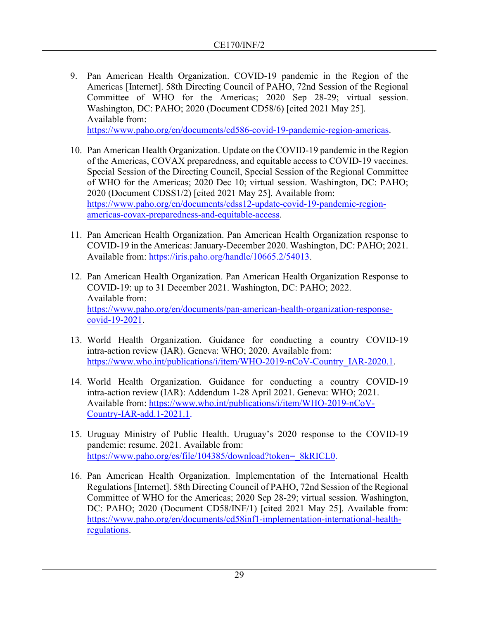- 9. Pan American Health Organization. COVID-19 pandemic in the Region of the Americas [Internet]. 58th Directing Council of PAHO, 72nd Session of the Regional Committee of WHO for the Americas; 2020 Sep 28-29; virtual session. Washington, DC: PAHO; 2020 (Document CD58/6) [cited 2021 May 25]. Available from: [https://www.paho.org/en/documents/cd586-covid-19-pandemic-region-americas.](https://www.paho.org/en/documents/cd586-covid-19-pandemic-region-americas)
- 10. Pan American Health Organization. Update on the COVID-19 pandemic in the Region of the Americas, COVAX preparedness, and equitable access to COVID-19 vaccines. Special Session of the Directing Council, Special Session of the Regional Committee of WHO for the Americas; 2020 Dec 10; virtual session. Washington, DC: PAHO; 2020 (Document CDSS1/2) [cited 2021 May 25]. Available from: [https://www.paho.org/en/documents/cdss12-update-covid-19-pandemic-region](https://www.paho.org/en/documents/cdss12-update-covid-19-pandemic-region-americas-covax-preparedness-and-equitable-access)[americas-covax-preparedness-and-equitable-access.](https://www.paho.org/en/documents/cdss12-update-covid-19-pandemic-region-americas-covax-preparedness-and-equitable-access)
- 11. Pan American Health Organization. Pan American Health Organization response to COVID-19 in the Americas: January-December 2020. Washington, DC: PAHO; 2021. Available from: [https://iris.paho.org/handle/10665.2/54013.](https://iris.paho.org/handle/10665.2/54013)
- 12. Pan American Health Organization. Pan American Health Organization Response to COVID-19: up to 31 December 2021. Washington, DC: PAHO; 2022. Available from: [https://www.paho.org/en/documents/pan-american-health-organization-response](https://www.paho.org/en/documents/pan-american-health-organization-response-covid-19-2021)[covid-19-2021.](https://www.paho.org/en/documents/pan-american-health-organization-response-covid-19-2021)
- 13. World Health Organization. Guidance for conducting a country COVID-19 intra-action review (IAR). Geneva: WHO; 2020. Available from: [https://www.who.int/publications/i/item/WHO-2019-nCoV-Country\\_IAR-2020.1.](https://www.who.int/publications/i/item/WHO-2019-nCoV-Country_IAR-2020.1)
- 14. World Health Organization. Guidance for conducting a country COVID-19 intra-action review (IAR): Addendum 1-28 April 2021. Geneva: WHO; 2021. Available from: [https://www.who.int/publications/i/item/WHO-2019-nCoV-](https://www.who.int/publications/i/item/WHO-2019-nCoV-Country-IAR-add.1-2021.1)[Country-IAR-add.1-2021.1.](https://www.who.int/publications/i/item/WHO-2019-nCoV-Country-IAR-add.1-2021.1)
- 15. Uruguay Ministry of Public Health. Uruguay's 2020 response to the COVID-19 pandemic: resume. 2021. Available from: [https://www.paho.org/es/file/104385/download?token=\\_8kRICL0.](https://www.paho.org/es/file/104385/download?token=_8kRICL0)
- 16. Pan American Health Organization. Implementation of the International Health Regulations [Internet]. 58th Directing Council of PAHO, 72nd Session of the Regional Committee of WHO for the Americas; 2020 Sep 28-29; virtual session. Washington, DC: PAHO; 2020 (Document CD58/INF/1) [cited 2021 May 25]. Available from: [https://www.paho.org/en/documents/cd58inf1-implementation-international-health](https://www.paho.org/en/documents/cd58inf1-implementation-international-health-regulations)[regulations.](https://www.paho.org/en/documents/cd58inf1-implementation-international-health-regulations)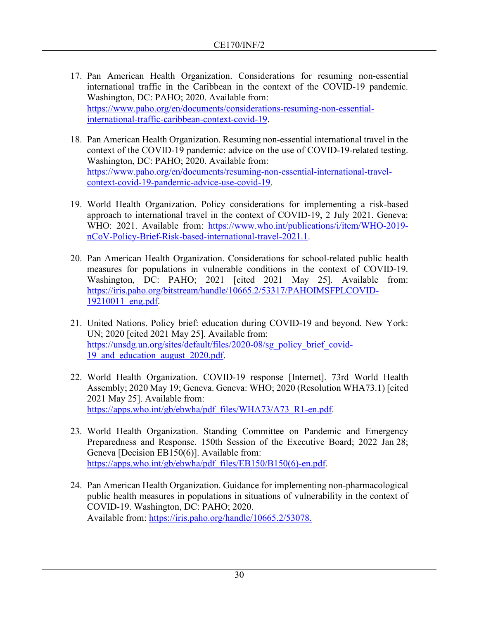- 17. Pan American Health Organization. Considerations for resuming non-essential international traffic in the Caribbean in the context of the COVID-19 pandemic. Washington, DC: PAHO; 2020. Available from: [https://www.paho.org/en/documents/considerations-resuming-non-essential](https://www.paho.org/en/documents/considerations-resuming-non-essential-international-traffic-caribbean-context-covid-19)[international-traffic-caribbean-context-covid-19.](https://www.paho.org/en/documents/considerations-resuming-non-essential-international-traffic-caribbean-context-covid-19)
- 18. Pan American Health Organization. Resuming non-essential international travel in the context of the COVID-19 pandemic: advice on the use of COVID-19-related testing. Washington, DC: PAHO; 2020. Available from: [https://www.paho.org/en/documents/resuming-non-essential-international-travel](https://www.paho.org/en/documents/resuming-non-essential-international-travel-context-covid-19-pandemic-advice-use-covid-19)[context-covid-19-pandemic-advice-use-covid-19.](https://www.paho.org/en/documents/resuming-non-essential-international-travel-context-covid-19-pandemic-advice-use-covid-19)
- 19. World Health Organization. Policy considerations for implementing a risk-based approach to international travel in the context of COVID-19, 2 July 2021. Geneva: WHO: 2021. Available from: [https://www.who.int/publications/i/item/WHO-2019](https://www.who.int/publications/i/item/WHO-2019-nCoV-Policy-Brief-Risk-based-international-travel-2021.1) [nCoV-Policy-Brief-Risk-based-international-travel-2021.1.](https://www.who.int/publications/i/item/WHO-2019-nCoV-Policy-Brief-Risk-based-international-travel-2021.1)
- 20. Pan American Health Organization. Considerations for school-related public health measures for populations in vulnerable conditions in the context of COVID-19. Washington, DC: PAHO; 2021 [cited 2021 May 25]. Available from: [https://iris.paho.org/bitstream/handle/10665.2/53317/PAHOIMSFPLCOVID-](https://iris.paho.org/bitstream/handle/10665.2/53317/PAHOIMSFPLCOVID-19210011_eng.pdf)[19210011\\_eng.pdf.](https://iris.paho.org/bitstream/handle/10665.2/53317/PAHOIMSFPLCOVID-19210011_eng.pdf)
- 21. United Nations. Policy brief: education during COVID-19 and beyond. New York: UN; 2020 [cited 2021 May 25]. Available from: [https://unsdg.un.org/sites/default/files/2020-08/sg\\_policy\\_brief\\_covid-](https://unsdg.un.org/sites/default/files/2020-08/sg_policy_brief_covid-19_and_education_august_2020.pdf)19 and education august 2020.pdf.
- 22. World Health Organization. COVID-19 response [Internet]. 73rd World Health Assembly; 2020 May 19; Geneva. Geneva: WHO; 2020 (Resolution WHA73.1) [cited 2021 May 25]. Available from: [https://apps.who.int/gb/ebwha/pdf\\_files/WHA73/A73\\_R1-en.pdf.](https://apps.who.int/gb/ebwha/pdf_files/WHA73/A73_R1-en.pdf)
- 23. World Health Organization. Standing Committee on Pandemic and Emergency Preparedness and Response. 150th Session of the Executive Board; 2022 Jan 28; Geneva [Decision EB150(6)]. Available from: [https://apps.who.int/gb/ebwha/pdf\\_files/EB150/B150\(6\)-en.pdf.](https://apps.who.int/gb/ebwha/pdf_files/EB150/B150(6)-en.pdf)
- 24. Pan American Health Organization. Guidance for implementing non-pharmacological public health measures in populations in situations of vulnerability in the context of COVID-19. Washington, DC: PAHO; 2020. Available from: [https://iris.paho.org/handle/10665.2/53078.](https://iris.paho.org/handle/10665.2/53078)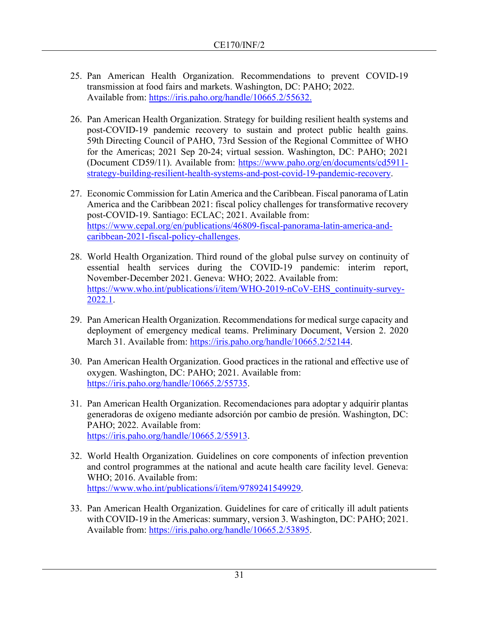- 25. Pan American Health Organization. Recommendations to prevent COVID-19 transmission at food fairs and markets. Washington, DC: PAHO; 2022. Available from: [https://iris.paho.org/handle/10665.2/55632.](https://iris.paho.org/handle/10665.2/55632)
- 26. Pan American Health Organization. Strategy for building resilient health systems and post-COVID-19 pandemic recovery to sustain and protect public health gains. 59th Directing Council of PAHO, 73rd Session of the Regional Committee of WHO for the Americas; 2021 Sep 20-24; virtual session. Washington, DC: PAHO; 2021 (Document CD59/11). Available from: [https://www.paho.org/en/documents/cd5911](https://www.paho.org/en/documents/cd5911-strategy-building-resilient-health-systems-and-post-covid-19-pandemic-recovery) [strategy-building-resilient-health-systems-and-post-covid-19-pandemic-recovery.](https://www.paho.org/en/documents/cd5911-strategy-building-resilient-health-systems-and-post-covid-19-pandemic-recovery)
- 27. Economic Commission for Latin America and the Caribbean. Fiscal panorama of Latin America and the Caribbean 2021: fiscal policy challenges for transformative recovery post-COVID-19. Santiago: ECLAC; 2021. Available from: [https://www.cepal.org/en/publications/46809-fiscal-panorama-latin-america-and](https://www.cepal.org/en/publications/46809-fiscal-panorama-latin-america-and-caribbean-2021-fiscal-policy-challenges)[caribbean-2021-fiscal-policy-challenges.](https://www.cepal.org/en/publications/46809-fiscal-panorama-latin-america-and-caribbean-2021-fiscal-policy-challenges)
- 28. World Health Organization. Third round of the global pulse survey on continuity of essential health services during the COVID-19 pandemic: interim report, November-December 2021. Geneva: WHO; 2022. Available from: [https://www.who.int/publications/i/item/WHO-2019-nCoV-EHS\\_continuity-survey-](https://www.who.int/publications/i/item/WHO-2019-nCoV-EHS_continuity-survey-2022.1)[2022.1.](https://www.who.int/publications/i/item/WHO-2019-nCoV-EHS_continuity-survey-2022.1)
- 29. Pan American Health Organization. Recommendations for medical surge capacity and deployment of emergency medical teams. Preliminary Document, Version 2. 2020 March 31. Available from: [https://iris.paho.org/handle/10665.2/52144.](https://iris.paho.org/handle/10665.2/52144)
- 30. Pan American Health Organization. Good practices in the rational and effective use of oxygen. Washington, DC: PAHO; 2021. Available from: [https://iris.paho.org/handle/10665.2/55735.](https://iris.paho.org/handle/10665.2/55735)
- 31. Pan American Health Organization. Recomendaciones para adoptar y adquirir plantas generadoras de oxígeno mediante adsorción por cambio de presión. Washington, DC: PAHO; 2022. Available from: [https://iris.paho.org/handle/10665.2/55913.](https://iris.paho.org/handle/10665.2/55913)
- 32. World Health Organization. Guidelines on core components of infection prevention and control programmes at the national and acute health care facility level. Geneva: WHO; 2016. Available from: [https://www.who.int/publications/i/item/9789241549929.](https://www.who.int/publications/i/item/9789241549929)
- 33. Pan American Health Organization. Guidelines for care of critically ill adult patients with COVID-19 in the Americas: summary, version 3. Washington, DC: PAHO; 2021. Available from: [https://iris.paho.org/handle/10665.2/53895.](https://iris.paho.org/handle/10665.2/53895)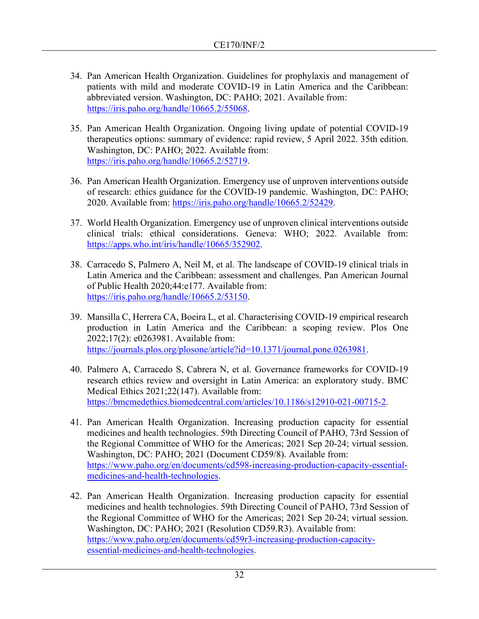- 34. Pan American Health Organization. Guidelines for prophylaxis and management of patients with mild and moderate COVID-19 in Latin America and the Caribbean: abbreviated version. Washington, DC: PAHO; 2021. Available from: [https://iris.paho.org/handle/10665.2/55068.](https://iris.paho.org/handle/10665.2/55068)
- 35. Pan American Health Organization. Ongoing living update of potential COVID-19 therapeutics options: summary of evidence: rapid review, 5 April 2022. 35th edition. Washington, DC: PAHO; 2022. Available from: [https://iris.paho.org/handle/10665.2/52719.](https://iris.paho.org/handle/10665.2/52719)
- 36. Pan American Health Organization. Emergency use of unproven interventions outside of research: ethics guidance for the COVID-19 pandemic. Washington, DC: PAHO; 2020. Available from: [https://iris.paho.org/handle/10665.2/52429.](https://iris.paho.org/handle/10665.2/52429)
- 37. World Health Organization. Emergency use of unproven clinical interventions outside clinical trials: ethical considerations. Geneva: WHO; 2022. Available from: [https://apps.who.int/iris/handle/10665/352902.](https://apps.who.int/iris/handle/10665/352902)
- 38. Carracedo S, Palmero A, Neil M, et al. The landscape of COVID-19 clinical trials in Latin America and the Caribbean: assessment and challenges. Pan American Journal of Public Health 2020;44:e177. Available from: [https://iris.paho.org/handle/10665.2/53150.](https://iris.paho.org/handle/10665.2/53150)
- 39. Mansilla C, Herrera CA, Boeira L, et al. Characterising COVID-19 empirical research production in Latin America and the Caribbean: a scoping review. Plos One 2022;17(2): e0263981. Available from: [https://journals.plos.org/plosone/article?id=10.1371/journal.pone.0263981.](https://journals.plos.org/plosone/article?id=10.1371/journal.pone.0263981)
- 40. Palmero A, Carracedo S, Cabrera N, et al. Governance frameworks for COVID-19 research ethics review and oversight in Latin America: an exploratory study. BMC Medical Ethics 2021;22(147). Available from: [https://bmcmedethics.biomedcentral.com/articles/10.1186/s12910-021-00715-2.](https://bmcmedethics.biomedcentral.com/articles/10.1186/s12910-021-00715-2)
- 41. Pan American Health Organization. Increasing production capacity for essential medicines and health technologies. 59th Directing Council of PAHO, 73rd Session of the Regional Committee of WHO for the Americas; 2021 Sep 20-24; virtual session. Washington, DC: PAHO; 2021 (Document CD59/8). Available from: [https://www.paho.org/en/documents/cd598-increasing-production-capacity-essential](https://www.paho.org/en/documents/cd598-increasing-production-capacity-essential-medicines-and-health-technologies)[medicines-and-health-technologies.](https://www.paho.org/en/documents/cd598-increasing-production-capacity-essential-medicines-and-health-technologies)
- 42. Pan American Health Organization. Increasing production capacity for essential medicines and health technologies. 59th Directing Council of PAHO, 73rd Session of the Regional Committee of WHO for the Americas; 2021 Sep 20-24; virtual session. Washington, DC: PAHO; 2021 (Resolution CD59.R3). Available from: [https://www.paho.org/en/documents/cd59r3-increasing-production-capacity](https://www.paho.org/en/documents/cd59r3-increasing-production-capacity-essential-medicines-and-health-technologies)[essential-medicines-and-health-technologies.](https://www.paho.org/en/documents/cd59r3-increasing-production-capacity-essential-medicines-and-health-technologies)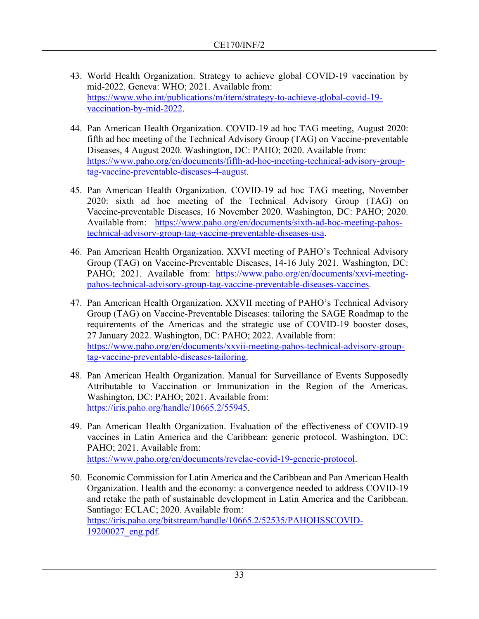- 43. World Health Organization. Strategy to achieve global COVID-19 vaccination by mid-2022. Geneva: WHO; 2021. Available from: [https://www.who.int/publications/m/item/strategy-to-achieve-global-covid-19](https://www.who.int/publications/m/item/strategy-to-achieve-global-covid-19-vaccination-by-mid-2022) [vaccination-by-mid-2022.](https://www.who.int/publications/m/item/strategy-to-achieve-global-covid-19-vaccination-by-mid-2022)
- 44. Pan American Health Organization. COVID-19 ad hoc TAG meeting, August 2020: fifth ad hoc meeting of the Technical Advisory Group (TAG) on Vaccine-preventable Diseases, 4 August 2020. Washington, DC: PAHO; 2020. Available from: [https://www.paho.org/en/documents/fifth-ad-hoc-meeting-technical-advisory-group](https://www.paho.org/en/documents/fifth-ad-hoc-meeting-technical-advisory-group-tag-vaccine-preventable-diseases-4-august)[tag-vaccine-preventable-diseases-4-august.](https://www.paho.org/en/documents/fifth-ad-hoc-meeting-technical-advisory-group-tag-vaccine-preventable-diseases-4-august)
- 45. Pan American Health Organization. COVID-19 ad hoc TAG meeting, November 2020: sixth ad hoc meeting of the Technical Advisory Group (TAG) on Vaccine-preventable Diseases, 16 November 2020. Washington, DC: PAHO; 2020. Available from: [https://www.paho.org/en/documents/sixth-ad-hoc-meeting-pahos](https://www.paho.org/en/documents/sixth-ad-hoc-meeting-pahos-technical-advisory-group-tag-vaccine-preventable-diseases-usa)[technical-advisory-group-tag-vaccine-preventable-diseases-usa.](https://www.paho.org/en/documents/sixth-ad-hoc-meeting-pahos-technical-advisory-group-tag-vaccine-preventable-diseases-usa)
- 46. Pan American Health Organization. XXVI meeting of PAHO's Technical Advisory Group (TAG) on Vaccine-Preventable Diseases, 14-16 July 2021. Washington, DC: PAHO; 2021. Available from: [https://www.paho.org/en/documents/xxvi-meeting](https://www.paho.org/en/documents/xxvi-meeting-pahos-technical-advisory-group-tag-vaccine-preventable-diseases-vaccines)[pahos-technical-advisory-group-tag-vaccine-preventable-diseases-vaccines.](https://www.paho.org/en/documents/xxvi-meeting-pahos-technical-advisory-group-tag-vaccine-preventable-diseases-vaccines)
- 47. Pan American Health Organization. XXVII meeting of PAHO's Technical Advisory Group (TAG) on Vaccine-Preventable Diseases: tailoring the SAGE Roadmap to the requirements of the Americas and the strategic use of COVID-19 booster doses, 27 January 2022. Washington, DC: PAHO; 2022. Available from: [https://www.paho.org/en/documents/xxvii-meeting-pahos-technical-advisory-group](https://www.paho.org/en/documents/xxvii-meeting-pahos-technical-advisory-group-tag-vaccine-preventable-diseases-tailoring)[tag-vaccine-preventable-diseases-tailoring.](https://www.paho.org/en/documents/xxvii-meeting-pahos-technical-advisory-group-tag-vaccine-preventable-diseases-tailoring)
- 48. Pan American Health Organization. Manual for Surveillance of Events Supposedly Attributable to Vaccination or Immunization in the Region of the Americas. Washington, DC: PAHO; 2021. Available from: [https://iris.paho.org/handle/10665.2/55945.](https://iris.paho.org/handle/10665.2/55945)
- 49. Pan American Health Organization. Evaluation of the effectiveness of COVID-19 vaccines in Latin America and the Caribbean: generic protocol. Washington, DC: PAHO; 2021. Available from: [https://www.paho.org/en/documents/revelac-covid-19-generic-protocol.](https://www.paho.org/en/documents/revelac-covid-19-generic-protocol)
- 50. Economic Commission for Latin America and the Caribbean and Pan American Health Organization. Health and the economy: a convergence needed to address COVID-19 and retake the path of sustainable development in Latin America and the Caribbean. Santiago: ECLAC; 2020. Available from: [https://iris.paho.org/bitstream/handle/10665.2/52535/PAHOHSSCOVID-](https://iris.paho.org/bitstream/handle/10665.2/52535/PAHOHSSCOVID-19200027_eng.pdf?sequence=5&isAllowed=y)[19200027\\_eng.pdf.](https://iris.paho.org/bitstream/handle/10665.2/52535/PAHOHSSCOVID-19200027_eng.pdf?sequence=5&isAllowed=y)